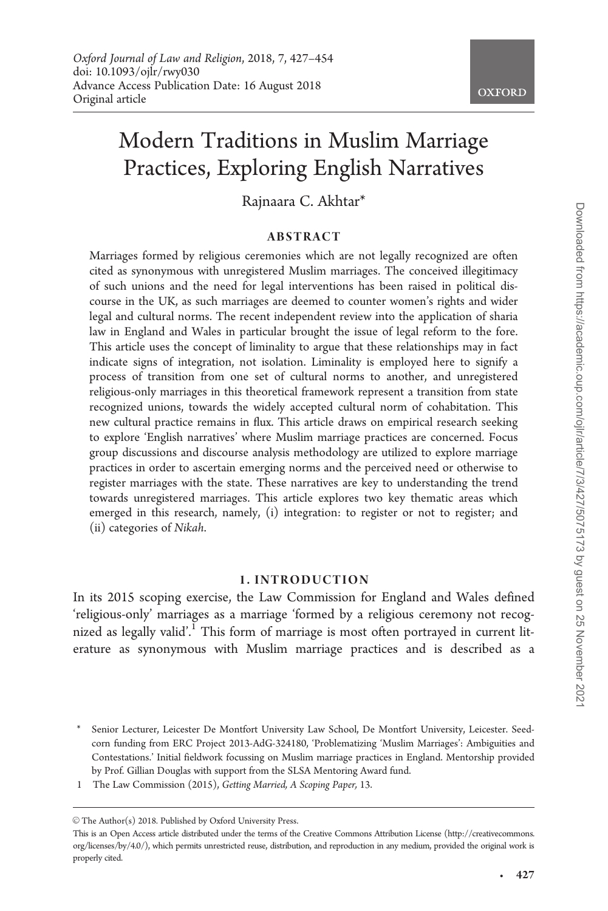# Modern Traditions in Muslim Marriage Practices, Exploring English Narratives

Rajnaara C. Akhtar\*

#### ABSTRACT

Marriages formed by religious ceremonies which are not legally recognized are often cited as synonymous with unregistered Muslim marriages. The conceived illegitimacy of such unions and the need for legal interventions has been raised in political discourse in the UK, as such marriages are deemed to counter women's rights and wider legal and cultural norms. The recent independent review into the application of sharia law in England and Wales in particular brought the issue of legal reform to the fore. This article uses the concept of liminality to argue that these relationships may in fact indicate signs of integration, not isolation. Liminality is employed here to signify a process of transition from one set of cultural norms to another, and unregistered religious-only marriages in this theoretical framework represent a transition from state recognized unions, towards the widely accepted cultural norm of cohabitation. This new cultural practice remains in flux. This article draws on empirical research seeking to explore 'English narratives' where Muslim marriage practices are concerned. Focus group discussions and discourse analysis methodology are utilized to explore marriage practices in order to ascertain emerging norms and the perceived need or otherwise to register marriages with the state. These narratives are key to understanding the trend towards unregistered marriages. This article explores two key thematic areas which emerged in this research, namely, (i) integration: to register or not to register; and (ii) categories of Nikah.

#### 1. INTRODUCTION

In its 2015 scoping exercise, the Law Commission for England and Wales defined 'religious-only' marriages as a marriage 'formed by a religious ceremony not recognized as legally valid'.<sup>1</sup> This form of marriage is most often portrayed in current literature as synonymous with Muslim marriage practices and is described as a

-

Senior Lecturer, Leicester De Montfort University Law School, De Montfort University, Leicester. Seedcorn funding from ERC Project 2013-AdG-324180, 'Problematizing 'Muslim Marriages': Ambiguities and Contestations.' Initial fieldwork focussing on Muslim marriage practices in England. Mentorship provided by Prof. Gillian Douglas with support from the SLSA Mentoring Award fund.

<sup>1</sup> The Law Commission (2015), Getting Married, A Scoping Paper, 13.

 $\odot$  The Author(s) 2018. Published by Oxford University Press.

This is an Open Access article distributed under the terms of the Creative Commons Attribution License (http://creativecommons. org/licenses/by/4.0/), which permits unrestricted reuse, distribution, and reproduction in any medium, provided the original work is properly cited.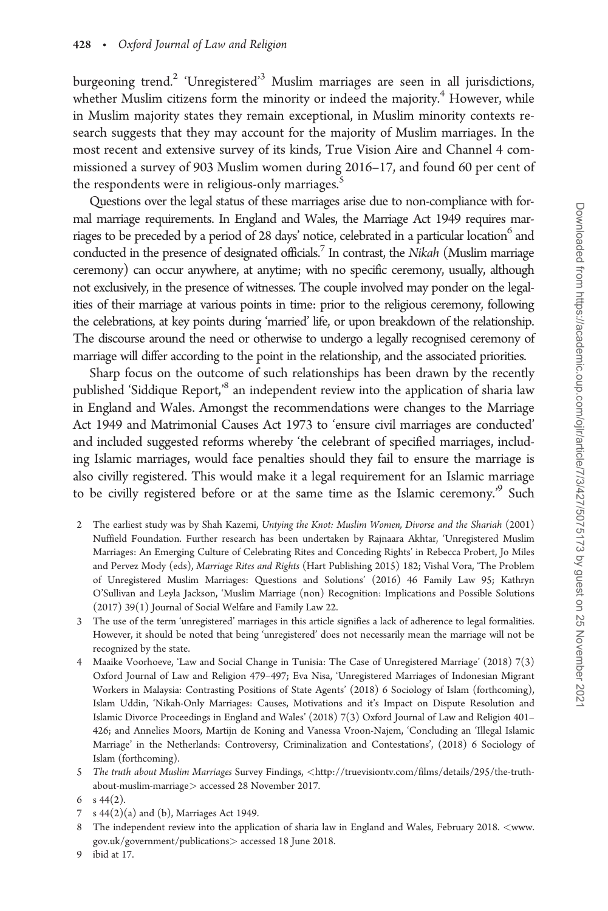burgeoning trend.<sup>2</sup> 'Unregistered'<sup>3</sup> Muslim marriages are seen in all jurisdictions, whether Muslim citizens form the minority or indeed the majority.<sup>4</sup> However, while in Muslim majority states they remain exceptional, in Muslim minority contexts research suggests that they may account for the majority of Muslim marriages. In the most recent and extensive survey of its kinds, True Vision Aire and Channel 4 commissioned a survey of 903 Muslim women during 2016–17, and found 60 per cent of the respondents were in religious-only marriages.<sup>5</sup>

Questions over the legal status of these marriages arise due to non-compliance with formal marriage requirements. In England and Wales, the Marriage Act 1949 requires marriages to be preceded by a period of 28 days' notice, celebrated in a particular location<sup>6</sup> and conducted in the presence of designated officials.<sup>7</sup> In contrast, the Nikah (Muslim marriage ceremony) can occur anywhere, at anytime; with no specific ceremony, usually, although not exclusively, in the presence of witnesses. The couple involved may ponder on the legalities of their marriage at various points in time: prior to the religious ceremony, following the celebrations, at key points during 'married' life, or upon breakdown of the relationship. The discourse around the need or otherwise to undergo a legally recognised ceremony of marriage will differ according to the point in the relationship, and the associated priorities.

Sharp focus on the outcome of such relationships has been drawn by the recently published 'Siddique Report,<sup>8</sup> an independent review into the application of sharia law in England and Wales. Amongst the recommendations were changes to the Marriage Act 1949 and Matrimonial Causes Act 1973 to 'ensure civil marriages are conducted' and included suggested reforms whereby 'the celebrant of specified marriages, including Islamic marriages, would face penalties should they fail to ensure the marriage is also civilly registered. This would make it a legal requirement for an Islamic marriage to be civilly registered before or at the same time as the Islamic ceremony.<sup>'9</sup> Such

- 2 The earliest study was by Shah Kazemi, Untying the Knot: Muslim Women, Divorse and the Shariah (2001) Nuffield Foundation. Further research has been undertaken by Rajnaara Akhtar, 'Unregistered Muslim Marriages: An Emerging Culture of Celebrating Rites and Conceding Rights' in Rebecca Probert, Jo Miles and Pervez Mody (eds), Marriage Rites and Rights (Hart Publishing 2015) 182; Vishal Vora, 'The Problem of Unregistered Muslim Marriages: Questions and Solutions' (2016) 46 Family Law 95; Kathryn O'Sullivan and Leyla Jackson, 'Muslim Marriage (non) Recognition: Implications and Possible Solutions (2017) 39(1) Journal of Social Welfare and Family Law 22.
- 3 The use of the term 'unregistered' marriages in this article signifies a lack of adherence to legal formalities. However, it should be noted that being 'unregistered' does not necessarily mean the marriage will not be recognized by the state.
- 4 Maaike Voorhoeve, 'Law and Social Change in Tunisia: The Case of Unregistered Marriage' (2018) 7(3) Oxford Journal of Law and Religion 479–497; Eva Nisa, 'Unregistered Marriages of Indonesian Migrant Workers in Malaysia: Contrasting Positions of State Agents' (2018) 6 Sociology of Islam (forthcoming), Islam Uddin, 'Nikah-Only Marriages: Causes, Motivations and it's Impact on Dispute Resolution and Islamic Divorce Proceedings in England and Wales' (2018) 7(3) Oxford Journal of Law and Religion 401– 426; and Annelies Moors, Martijn de Koning and Vanessa Vroon-Najem, 'Concluding an 'Illegal Islamic Marriage' in the Netherlands: Controversy, Criminalization and Contestations', (2018) 6 Sociology of Islam (forthcoming).
- 5 The truth about Muslim Marriages Survey Findings, <[http://truevisiontv.com/films/details/295/the-truth](http://truevisiontv.com/films/details/295/the-truth-about-muslim-marriage)[about-muslim-marriage](http://truevisiontv.com/films/details/295/the-truth-about-muslim-marriage)> accessed 28 November 2017.

- 7 s 44(2)(a) and (b), Marriages Act 1949.
- 8 The independent review into the application of sharia law in England and Wales, February 2018. <[www.](http://www.gov.uk/government/publications) [gov.uk/government/publications](http://www.gov.uk/government/publications)> accessed 18 June 2018.
- 9 ibid at 17.

<sup>6</sup>  $s\,44(2)$ .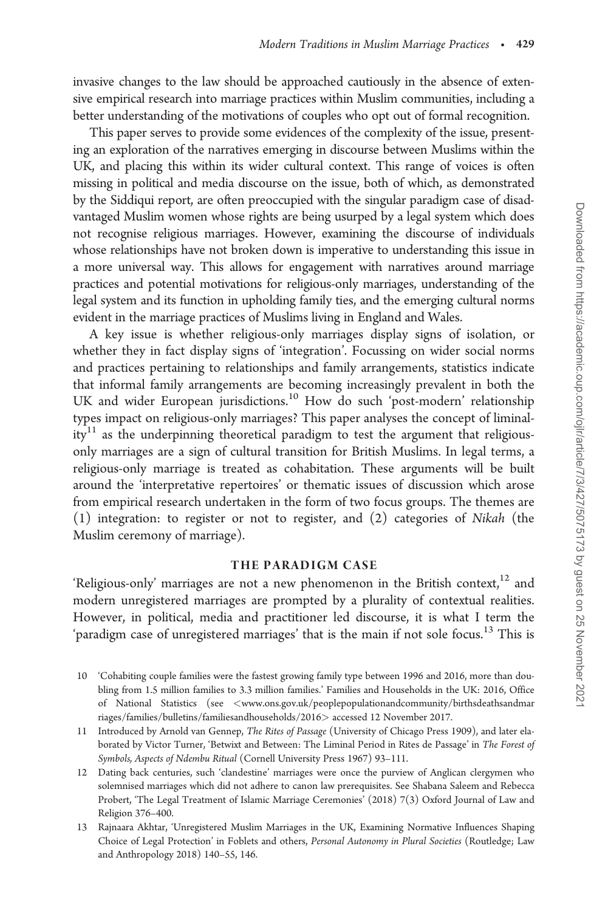invasive changes to the law should be approached cautiously in the absence of extensive empirical research into marriage practices within Muslim communities, including a better understanding of the motivations of couples who opt out of formal recognition.

This paper serves to provide some evidences of the complexity of the issue, presenting an exploration of the narratives emerging in discourse between Muslims within the UK, and placing this within its wider cultural context. This range of voices is often missing in political and media discourse on the issue, both of which, as demonstrated by the Siddiqui report, are often preoccupied with the singular paradigm case of disadvantaged Muslim women whose rights are being usurped by a legal system which does not recognise religious marriages. However, examining the discourse of individuals whose relationships have not broken down is imperative to understanding this issue in a more universal way. This allows for engagement with narratives around marriage practices and potential motivations for religious-only marriages, understanding of the legal system and its function in upholding family ties, and the emerging cultural norms evident in the marriage practices of Muslims living in England and Wales.

A key issue is whether religious-only marriages display signs of isolation, or whether they in fact display signs of 'integration'. Focussing on wider social norms and practices pertaining to relationships and family arrangements, statistics indicate that informal family arrangements are becoming increasingly prevalent in both the UK and wider European jurisdictions.<sup>10</sup> How do such 'post-modern' relationship types impact on religious-only marriages? This paper analyses the concept of liminal $ity<sup>11</sup>$  as the underpinning theoretical paradigm to test the argument that religiousonly marriages are a sign of cultural transition for British Muslims. In legal terms, a religious-only marriage is treated as cohabitation. These arguments will be built around the 'interpretative repertoires' or thematic issues of discussion which arose from empirical research undertaken in the form of two focus groups. The themes are (1) integration: to register or not to register, and (2) categories of Nikah (the Muslim ceremony of marriage).

#### THE PARADIGM CASE

'Religious-only' marriages are not a new phenomenon in the British context, $12$  and modern unregistered marriages are prompted by a plurality of contextual realities. However, in political, media and practitioner led discourse, it is what I term the 'paradigm case of unregistered marriages' that is the main if not sole focus.<sup>13</sup> This is

- 10 'Cohabiting couple families were the fastest growing family type between 1996 and 2016, more than doubling from 1.5 million families to 3.3 million families.' Families and Households in the UK: 2016, Office of National Statistics (see <[www.ons.gov.uk/peoplepopulationandcommunity/birthsdeathsandmar](http://www.ons.gov.uk/peoplepopulationandcommunity/ birthsdeaths andmarriages/families/bulletins/familiesandhouseholds/2016) [riages/families/bulletins/familiesandhouseholds/2016](http://www.ons.gov.uk/peoplepopulationandcommunity/ birthsdeaths andmarriages/families/bulletins/familiesandhouseholds/2016)> accessed 12 November 2017.
- 11 Introduced by Arnold van Gennep, The Rites of Passage (University of Chicago Press 1909), and later elaborated by Victor Turner, 'Betwixt and Between: The Liminal Period in Rites de Passage' in The Forest of Symbols, Aspects of Ndembu Ritual (Cornell University Press 1967) 93–111.
- 12 Dating back centuries, such 'clandestine' marriages were once the purview of Anglican clergymen who solemnised marriages which did not adhere to canon law prerequisites. See Shabana Saleem and Rebecca Probert, 'The Legal Treatment of Islamic Marriage Ceremonies' (2018) 7(3) Oxford Journal of Law and Religion 376–400.
- 13 Rajnaara Akhtar, 'Unregistered Muslim Marriages in the UK, Examining Normative Influences Shaping Choice of Legal Protection' in Foblets and others, Personal Autonomy in Plural Societies (Routledge; Law and Anthropology 2018) 140–55, 146.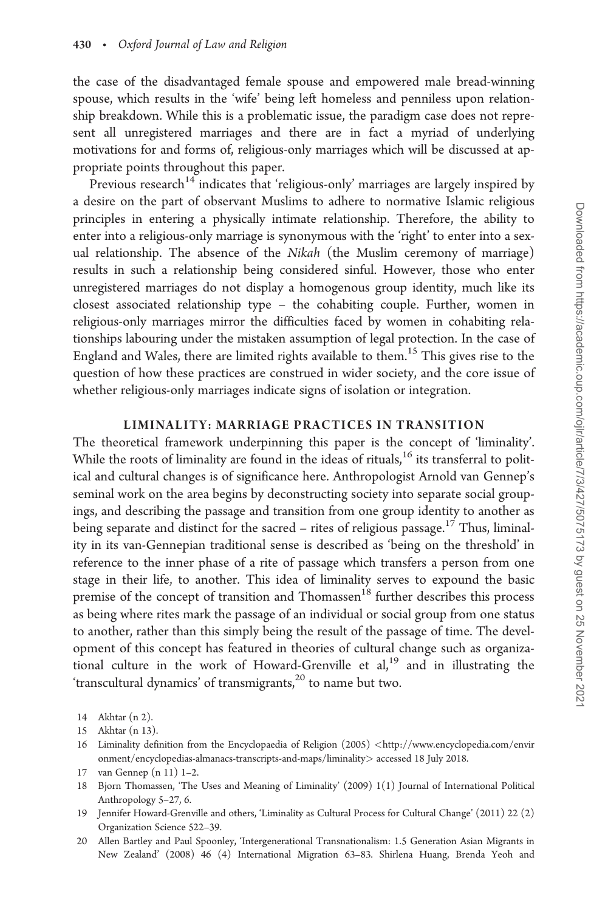the case of the disadvantaged female spouse and empowered male bread-winning spouse, which results in the 'wife' being left homeless and penniless upon relationship breakdown. While this is a problematic issue, the paradigm case does not represent all unregistered marriages and there are in fact a myriad of underlying motivations for and forms of, religious-only marriages which will be discussed at appropriate points throughout this paper.

Previous research<sup>14</sup> indicates that 'religious-only' marriages are largely inspired by a desire on the part of observant Muslims to adhere to normative Islamic religious principles in entering a physically intimate relationship. Therefore, the ability to enter into a religious-only marriage is synonymous with the 'right' to enter into a sexual relationship. The absence of the Nikah (the Muslim ceremony of marriage) results in such a relationship being considered sinful. However, those who enter unregistered marriages do not display a homogenous group identity, much like its closest associated relationship type – the cohabiting couple. Further, women in religious-only marriages mirror the difficulties faced by women in cohabiting relationships labouring under the mistaken assumption of legal protection. In the case of England and Wales, there are limited rights available to them.<sup>15</sup> This gives rise to the question of how these practices are construed in wider society, and the core issue of whether religious-only marriages indicate signs of isolation or integration.

#### LIMINALITY: MARRIAGE PRACTICES IN TRANSITION

The theoretical framework underpinning this paper is the concept of 'liminality'. While the roots of liminality are found in the ideas of rituals,<sup>16</sup> its transferral to political and cultural changes is of significance here. Anthropologist Arnold van Gennep's seminal work on the area begins by deconstructing society into separate social groupings, and describing the passage and transition from one group identity to another as being separate and distinct for the sacred – rites of religious passage.<sup>17</sup> Thus, liminality in its van-Gennepian traditional sense is described as 'being on the threshold' in reference to the inner phase of a rite of passage which transfers a person from one stage in their life, to another. This idea of liminality serves to expound the basic premise of the concept of transition and Thomassen<sup>18</sup> further describes this process as being where rites mark the passage of an individual or social group from one status to another, rather than this simply being the result of the passage of time. The development of this concept has featured in theories of cultural change such as organizational culture in the work of Howard-Grenville et al,<sup>19</sup> and in illustrating the 'transcultural dynamics' of transmigrants,<sup>20</sup> to name but two.

<sup>14</sup> Akhtar (n 2).

<sup>15</sup> Akhtar (n 13).

<sup>16</sup> Liminality definition from the Encyclopaedia of Religion (2005) <[http://www.encyclopedia.com/envir](http://www.encyclopedia.com/environment/encyclopedias-almanacs-transcripts-and-maps/liminality) [onment/encyclopedias-almanacs-transcripts-and-maps/liminality](http://www.encyclopedia.com/environment/encyclopedias-almanacs-transcripts-and-maps/liminality)> accessed 18 July 2018.

<sup>17</sup> van Gennep (n 11) 1–2.

<sup>18</sup> Bjorn Thomassen, 'The Uses and Meaning of Liminality' (2009) 1(1) Journal of International Political Anthropology 5–27, 6.

<sup>19</sup> Jennifer Howard-Grenville and others, 'Liminality as Cultural Process for Cultural Change' (2011) 22 (2) Organization Science 522–39.

<sup>20</sup> Allen Bartley and Paul Spoonley, 'Intergenerational Transnationalism: 1.5 Generation Asian Migrants in New Zealand' (2008) 46 (4) International Migration 63–83. Shirlena Huang, Brenda Yeoh and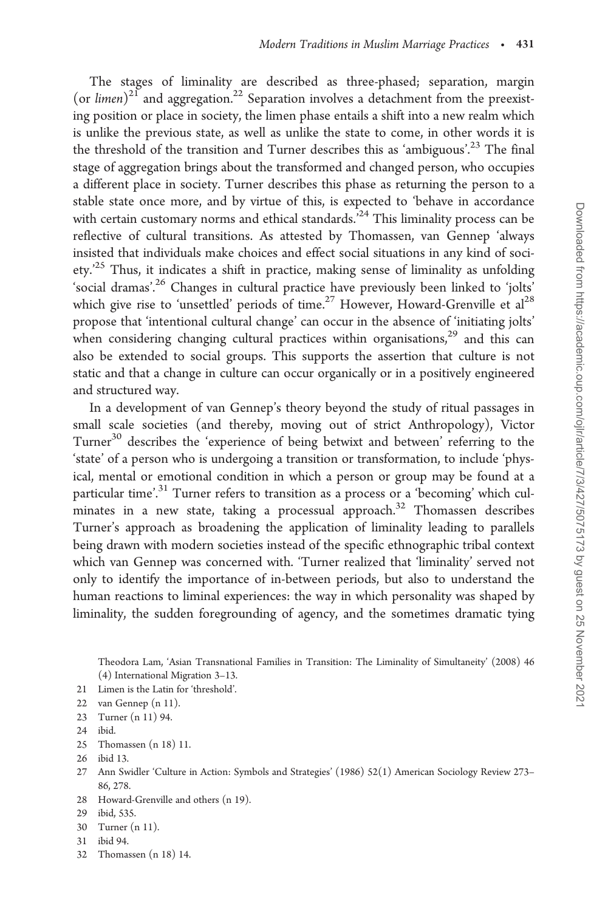The stages of liminality are described as three-phased; separation, margin (or *limen*) $^{21}$  and aggregation.<sup>22</sup> Separation involves a detachment from the preexisting position or place in society, the limen phase entails a shift into a new realm which is unlike the previous state, as well as unlike the state to come, in other words it is the threshold of the transition and Turner describes this as 'ambiguous'.<sup>23</sup> The final stage of aggregation brings about the transformed and changed person, who occupies a different place in society. Turner describes this phase as returning the person to a stable state once more, and by virtue of this, is expected to 'behave in accordance with certain customary norms and ethical standards.<sup>324</sup> This liminality process can be reflective of cultural transitions. As attested by Thomassen, van Gennep 'always insisted that individuals make choices and effect social situations in any kind of society.'25 Thus, it indicates a shift in practice, making sense of liminality as unfolding 'social dramas'.<sup>26</sup> Changes in cultural practice have previously been linked to 'jolts' which give rise to 'unsettled' periods of time.<sup>27</sup> However, Howard-Grenville et al<sup>28</sup> propose that 'intentional cultural change' can occur in the absence of 'initiating jolts' when considering changing cultural practices within organisations, $2^9$  and this can also be extended to social groups. This supports the assertion that culture is not static and that a change in culture can occur organically or in a positively engineered and structured way.

In a development of van Gennep's theory beyond the study of ritual passages in small scale societies (and thereby, moving out of strict Anthropology), Victor Turner $30$  describes the 'experience of being betwixt and between' referring to the 'state' of a person who is undergoing a transition or transformation, to include 'physical, mental or emotional condition in which a person or group may be found at a particular time'.<sup>31</sup> Turner refers to transition as a process or a 'becoming' which culminates in a new state, taking a processual approach.<sup>32</sup> Thomassen describes Turner's approach as broadening the application of liminality leading to parallels being drawn with modern societies instead of the specific ethnographic tribal context which van Gennep was concerned with. 'Turner realized that 'liminality' served not only to identify the importance of in-between periods, but also to understand the human reactions to liminal experiences: the way in which personality was shaped by liminality, the sudden foregrounding of agency, and the sometimes dramatic tying

Theodora Lam, 'Asian Transnational Families in Transition: The Liminality of Simultaneity' (2008) 46 (4) International Migration 3–13.

- 21 Limen is the Latin for 'threshold'.
- 22 van Gennep (n 11).
- 23 Turner (n 11) 94.
- 24 ibid.
- 25 Thomassen (n 18) 11.
- 26 ibid 13.
- 27 Ann Swidler 'Culture in Action: Symbols and Strategies' (1986) 52(1) American Sociology Review 273– 86, 278.
- 28 Howard-Grenville and others (n 19).
- 29 ibid, 535.
- 30 Turner (n 11).
- 31 ibid 94.
- 32 Thomassen (n 18) 14.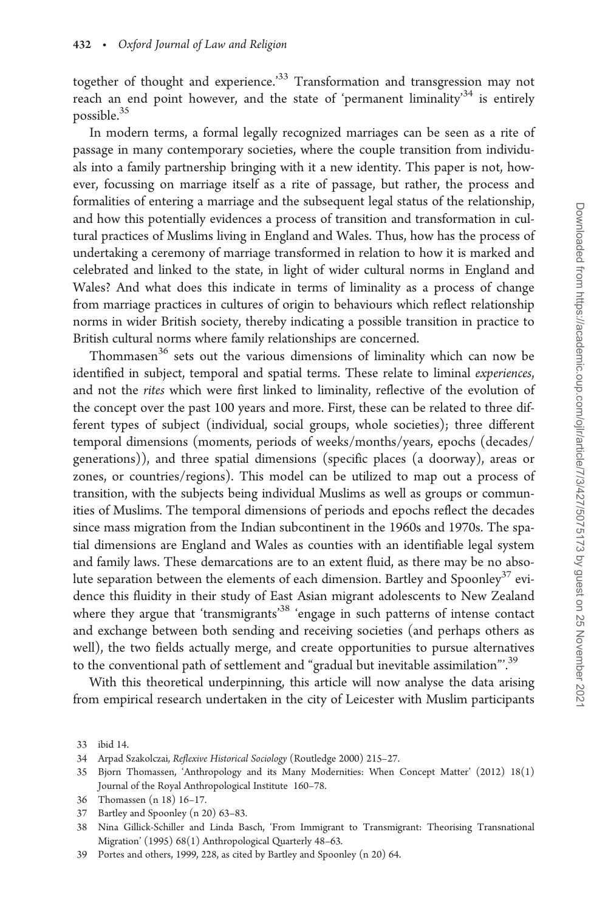together of thought and experience.<sup>33</sup> Transformation and transgression may not reach an end point however, and the state of 'permanent  $\lim_{x\to a}$  is entirely possible.35

In modern terms, a formal legally recognized marriages can be seen as a rite of passage in many contemporary societies, where the couple transition from individuals into a family partnership bringing with it a new identity. This paper is not, however, focussing on marriage itself as a rite of passage, but rather, the process and formalities of entering a marriage and the subsequent legal status of the relationship, and how this potentially evidences a process of transition and transformation in cultural practices of Muslims living in England and Wales. Thus, how has the process of undertaking a ceremony of marriage transformed in relation to how it is marked and celebrated and linked to the state, in light of wider cultural norms in England and Wales? And what does this indicate in terms of liminality as a process of change from marriage practices in cultures of origin to behaviours which reflect relationship norms in wider British society, thereby indicating a possible transition in practice to British cultural norms where family relationships are concerned.

Thommasen<sup>36</sup> sets out the various dimensions of liminality which can now be identified in subject, temporal and spatial terms. These relate to liminal experiences, and not the rites which were first linked to liminality, reflective of the evolution of the concept over the past 100 years and more. First, these can be related to three different types of subject (individual, social groups, whole societies); three different temporal dimensions (moments, periods of weeks/months/years, epochs (decades/ generations)), and three spatial dimensions (specific places (a doorway), areas or zones, or countries/regions). This model can be utilized to map out a process of transition, with the subjects being individual Muslims as well as groups or communities of Muslims. The temporal dimensions of periods and epochs reflect the decades since mass migration from the Indian subcontinent in the 1960s and 1970s. The spatial dimensions are England and Wales as counties with an identifiable legal system and family laws. These demarcations are to an extent fluid, as there may be no absolute separation between the elements of each dimension. Bartley and Spoonley<sup>37</sup> evidence this fluidity in their study of East Asian migrant adolescents to New Zealand where they argue that 'transmigrants'<sup>38</sup> 'engage in such patterns of intense contact and exchange between both sending and receiving societies (and perhaps others as well), the two fields actually merge, and create opportunities to pursue alternatives to the conventional path of settlement and "gradual but inevitable assimilation".<sup>39</sup>

With this theoretical underpinning, this article will now analyse the data arising from empirical research undertaken in the city of Leicester with Muslim participants

- 36 Thomassen (n 18) 16–17.
- 37 Bartley and Spoonley (n 20) 63–83.

<sup>33</sup> ibid 14.

<sup>34</sup> Arpad Szakolczai, Reflexive Historical Sociology (Routledge 2000) 215–27.

<sup>35</sup> Bjorn Thomassen, 'Anthropology and its Many Modernities: When Concept Matter' (2012) 18(1) Journal of the Royal Anthropological Institute 160–78.

<sup>38</sup> Nina Gillick-Schiller and Linda Basch, 'From Immigrant to Transmigrant: Theorising Transnational Migration' (1995) 68(1) Anthropological Quarterly 48–63.

<sup>39</sup> Portes and others, 1999, 228, as cited by Bartley and Spoonley (n 20) 64.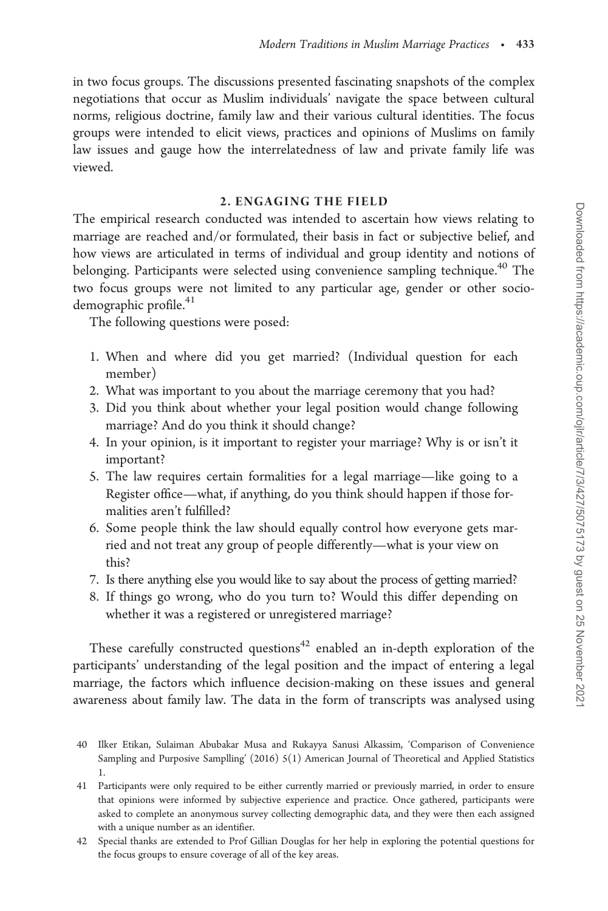in two focus groups. The discussions presented fascinating snapshots of the complex negotiations that occur as Muslim individuals' navigate the space between cultural norms, religious doctrine, family law and their various cultural identities. The focus groups were intended to elicit views, practices and opinions of Muslims on family law issues and gauge how the interrelatedness of law and private family life was viewed.

### 2. ENGAGING THE FIELD

The empirical research conducted was intended to ascertain how views relating to marriage are reached and/or formulated, their basis in fact or subjective belief, and how views are articulated in terms of individual and group identity and notions of belonging. Participants were selected using convenience sampling technique.<sup>40</sup> The two focus groups were not limited to any particular age, gender or other sociodemographic profile. $41$ 

The following questions were posed:

- 1. When and where did you get married? (Individual question for each member)
- 2. What was important to you about the marriage ceremony that you had?
- 3. Did you think about whether your legal position would change following marriage? And do you think it should change?
- 4. In your opinion, is it important to register your marriage? Why is or isn't it important?
- 5. The law requires certain formalities for a legal marriage—like going to a Register office—what, if anything, do you think should happen if those formalities aren't fulfilled?
- 6. Some people think the law should equally control how everyone gets married and not treat any group of people differently—what is your view on this?
- 7. Is there anything else you would like to say about the process of getting married?
- 8. If things go wrong, who do you turn to? Would this differ depending on whether it was a registered or unregistered marriage?

These carefully constructed questions<sup>42</sup> enabled an in-depth exploration of the participants' understanding of the legal position and the impact of entering a legal marriage, the factors which influence decision-making on these issues and general awareness about family law. The data in the form of transcripts was analysed using

42 Special thanks are extended to Prof Gillian Douglas for her help in exploring the potential questions for the focus groups to ensure coverage of all of the key areas.

<sup>40</sup> Ilker Etikan, Sulaiman Abubakar Musa and Rukayya Sanusi Alkassim, 'Comparison of Convenience Sampling and Purposive Samplling' (2016) 5(1) American Journal of Theoretical and Applied Statistics 1.

<sup>41</sup> Participants were only required to be either currently married or previously married, in order to ensure that opinions were informed by subjective experience and practice. Once gathered, participants were asked to complete an anonymous survey collecting demographic data, and they were then each assigned with a unique number as an identifier.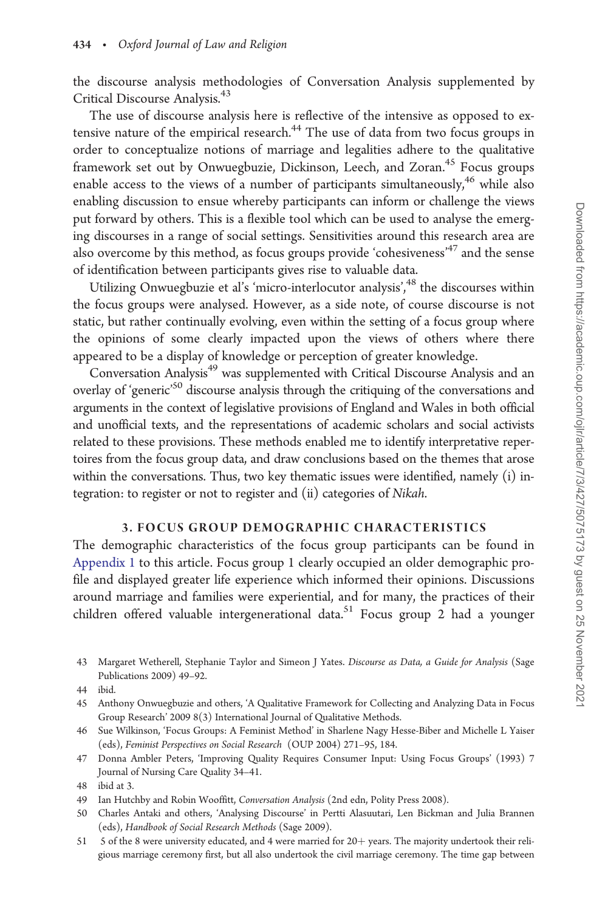the discourse analysis methodologies of Conversation Analysis supplemented by Critical Discourse Analysis.<sup>43</sup>

The use of discourse analysis here is reflective of the intensive as opposed to extensive nature of the empirical research.<sup>44</sup> The use of data from two focus groups in order to conceptualize notions of marriage and legalities adhere to the qualitative framework set out by Onwuegbuzie, Dickinson, Leech, and Zoran.<sup>45</sup> Focus groups enable access to the views of a number of participants simultaneously,  $46$  while also enabling discussion to ensue whereby participants can inform or challenge the views put forward by others. This is a flexible tool which can be used to analyse the emerging discourses in a range of social settings. Sensitivities around this research area are also overcome by this method, as focus groups provide 'cohesiveness'<sup>47</sup> and the sense of identification between participants gives rise to valuable data.

Utilizing Onwuegbuzie et al's 'micro-interlocutor analysis',<sup>48</sup> the discourses within the focus groups were analysed. However, as a side note, of course discourse is not static, but rather continually evolving, even within the setting of a focus group where the opinions of some clearly impacted upon the views of others where there appeared to be a display of knowledge or perception of greater knowledge.

Conversation Analysis<sup>49</sup> was supplemented with Critical Discourse Analysis and an overlay of 'generic'50 discourse analysis through the critiquing of the conversations and arguments in the context of legislative provisions of England and Wales in both official and unofficial texts, and the representations of academic scholars and social activists related to these provisions. These methods enabled me to identify interpretative repertoires from the focus group data, and draw conclusions based on the themes that arose within the conversations. Thus, two key thematic issues were identified, namely (i) integration: to register or not to register and (ii) categories of Nikah.

#### 3. FOCUS GROUP DEMOGRAPHIC CHARACTERISTICS

The demographic characteristics of the focus group participants can be found in Appendix 1 to this article. Focus group 1 clearly occupied an older demographic profile and displayed greater life experience which informed their opinions. Discussions around marriage and families were experiential, and for many, the practices of their children offered valuable intergenerational data.<sup>51</sup> Focus group 2 had a younger

- 46 Sue Wilkinson, 'Focus Groups: A Feminist Method' in Sharlene Nagy Hesse-Biber and Michelle L Yaiser (eds), Feminist Perspectives on Social Research (OUP 2004) 271–95, 184.
- 47 Donna Ambler Peters, 'Improving Quality Requires Consumer Input: Using Focus Groups' (1993) 7 Journal of Nursing Care Quality 34–41.

- 49 Ian Hutchby and Robin Wooffitt, Conversation Analysis (2nd edn, Polity Press 2008).
- 50 Charles Antaki and others, 'Analysing Discourse' in Pertti Alasuutari, Len Bickman and Julia Brannen (eds), Handbook of Social Research Methods (Sage 2009).
- 51 5 of the 8 were university educated, and 4 were married for  $20+$  years. The majority undertook their religious marriage ceremony first, but all also undertook the civil marriage ceremony. The time gap between

<sup>43</sup> Margaret Wetherell, Stephanie Taylor and Simeon J Yates. Discourse as Data, a Guide for Analysis (Sage Publications 2009) 49–92.

<sup>44</sup> ibid.

<sup>45</sup> Anthony Onwuegbuzie and others, 'A Qualitative Framework for Collecting and Analyzing Data in Focus Group Research' 2009 8(3) International Journal of Qualitative Methods.

<sup>48</sup> ibid at 3.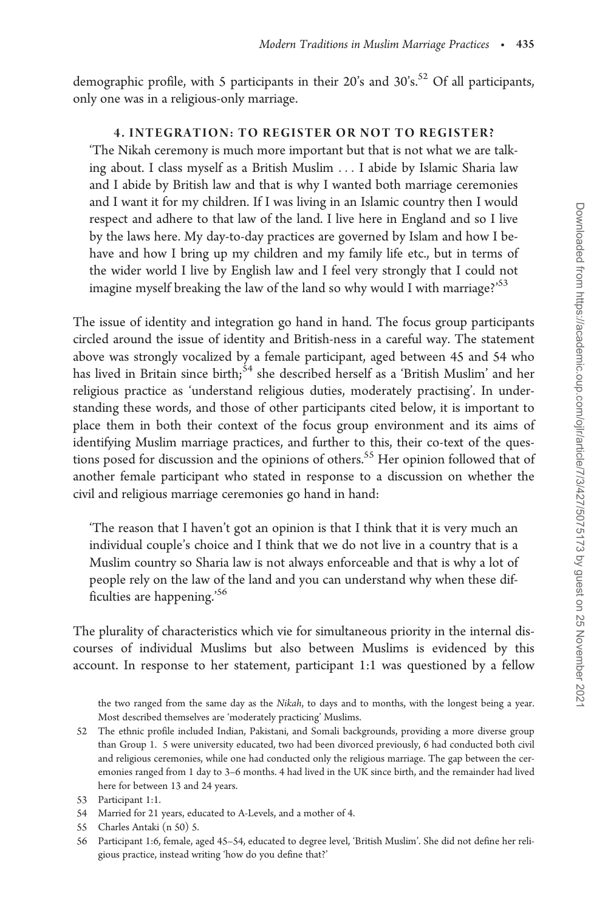demographic profile, with 5 participants in their 20's and 30's.<sup>52</sup> Of all participants, only one was in a religious-only marriage.

### 4. INTEGRATION: TO REGISTER OR NOT TO REGISTER?

'The Nikah ceremony is much more important but that is not what we are talking about. I class myself as a British Muslim ... I abide by Islamic Sharia law and I abide by British law and that is why I wanted both marriage ceremonies and I want it for my children. If I was living in an Islamic country then I would respect and adhere to that law of the land. I live here in England and so I live by the laws here. My day-to-day practices are governed by Islam and how I behave and how I bring up my children and my family life etc., but in terms of the wider world I live by English law and I feel very strongly that I could not imagine myself breaking the law of the land so why would I with marriage?<sup>553</sup>

The issue of identity and integration go hand in hand. The focus group participants circled around the issue of identity and British-ness in a careful way. The statement above was strongly vocalized by a female participant, aged between 45 and 54 who has lived in Britain since birth;<sup>54</sup> she described herself as a 'British Muslim' and her religious practice as 'understand religious duties, moderately practising'. In understanding these words, and those of other participants cited below, it is important to place them in both their context of the focus group environment and its aims of identifying Muslim marriage practices, and further to this, their co-text of the questions posed for discussion and the opinions of others.<sup>55</sup> Her opinion followed that of another female participant who stated in response to a discussion on whether the civil and religious marriage ceremonies go hand in hand:

'The reason that I haven't got an opinion is that I think that it is very much an individual couple's choice and I think that we do not live in a country that is a Muslim country so Sharia law is not always enforceable and that is why a lot of people rely on the law of the land and you can understand why when these difficulties are happening.'56

The plurality of characteristics which vie for simultaneous priority in the internal discourses of individual Muslims but also between Muslims is evidenced by this account. In response to her statement, participant 1:1 was questioned by a fellow

the two ranged from the same day as the Nikah, to days and to months, with the longest being a year. Most described themselves are 'moderately practicing' Muslims.

- 52 The ethnic profile included Indian, Pakistani, and Somali backgrounds, providing a more diverse group than Group 1. 5 were university educated, two had been divorced previously, 6 had conducted both civil and religious ceremonies, while one had conducted only the religious marriage. The gap between the ceremonies ranged from 1 day to 3–6 months. 4 had lived in the UK since birth, and the remainder had lived here for between 13 and 24 years.
- 53 Participant 1:1.
- 54 Married for 21 years, educated to A-Levels, and a mother of 4.
- 55 Charles Antaki (n 50) 5.
- 56 Participant 1:6, female, aged 45–54, educated to degree level, 'British Muslim'. She did not define her religious practice, instead writing 'how do you define that?'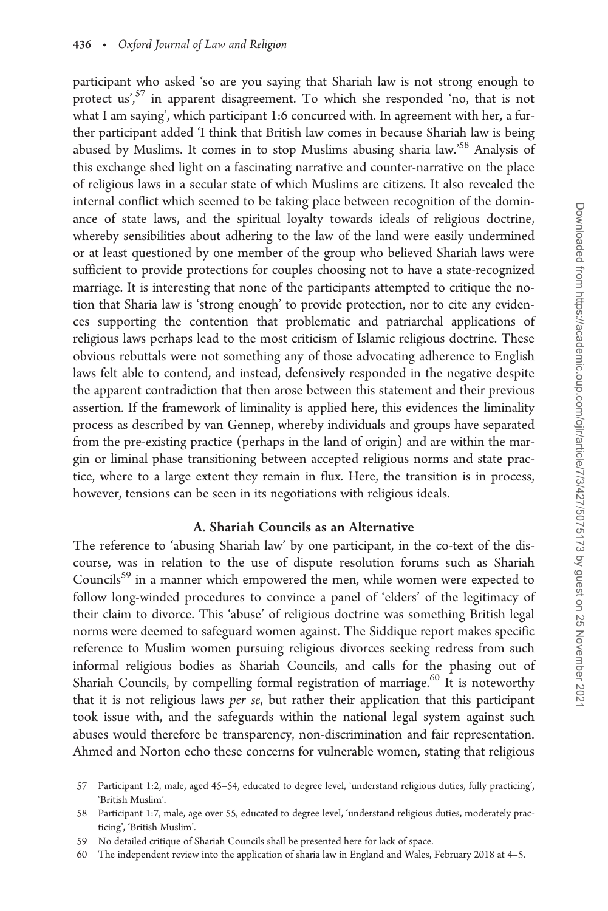participant who asked 'so are you saying that Shariah law is not strong enough to protect us',  $57$  in apparent disagreement. To which she responded 'no, that is not what I am saying', which participant 1:6 concurred with. In agreement with her, a further participant added 'I think that British law comes in because Shariah law is being abused by Muslims. It comes in to stop Muslims abusing sharia law.<sup>58</sup> Analysis of this exchange shed light on a fascinating narrative and counter-narrative on the place of religious laws in a secular state of which Muslims are citizens. It also revealed the internal conflict which seemed to be taking place between recognition of the dominance of state laws, and the spiritual loyalty towards ideals of religious doctrine, whereby sensibilities about adhering to the law of the land were easily undermined or at least questioned by one member of the group who believed Shariah laws were sufficient to provide protections for couples choosing not to have a state-recognized marriage. It is interesting that none of the participants attempted to critique the notion that Sharia law is 'strong enough' to provide protection, nor to cite any evidences supporting the contention that problematic and patriarchal applications of religious laws perhaps lead to the most criticism of Islamic religious doctrine. These obvious rebuttals were not something any of those advocating adherence to English laws felt able to contend, and instead, defensively responded in the negative despite the apparent contradiction that then arose between this statement and their previous assertion. If the framework of liminality is applied here, this evidences the liminality process as described by van Gennep, whereby individuals and groups have separated from the pre-existing practice (perhaps in the land of origin) and are within the margin or liminal phase transitioning between accepted religious norms and state practice, where to a large extent they remain in flux. Here, the transition is in process, however, tensions can be seen in its negotiations with religious ideals.

#### A. Shariah Councils as an Alternative

The reference to 'abusing Shariah law' by one participant, in the co-text of the discourse, was in relation to the use of dispute resolution forums such as Shariah Councils<sup>59</sup> in a manner which empowered the men, while women were expected to follow long-winded procedures to convince a panel of 'elders' of the legitimacy of their claim to divorce. This 'abuse' of religious doctrine was something British legal norms were deemed to safeguard women against. The Siddique report makes specific reference to Muslim women pursuing religious divorces seeking redress from such informal religious bodies as Shariah Councils, and calls for the phasing out of Shariah Councils, by compelling formal registration of marriage.<sup>60</sup> It is noteworthy that it is not religious laws per se, but rather their application that this participant took issue with, and the safeguards within the national legal system against such abuses would therefore be transparency, non-discrimination and fair representation. Ahmed and Norton echo these concerns for vulnerable women, stating that religious

<sup>57</sup> Participant 1:2, male, aged 45–54, educated to degree level, 'understand religious duties, fully practicing', 'British Muslim'.

<sup>58</sup> Participant 1:7, male, age over 55, educated to degree level, 'understand religious duties, moderately practicing', 'British Muslim'.

<sup>59</sup> No detailed critique of Shariah Councils shall be presented here for lack of space.

<sup>60</sup> The independent review into the application of sharia law in England and Wales, February 2018 at 4–5.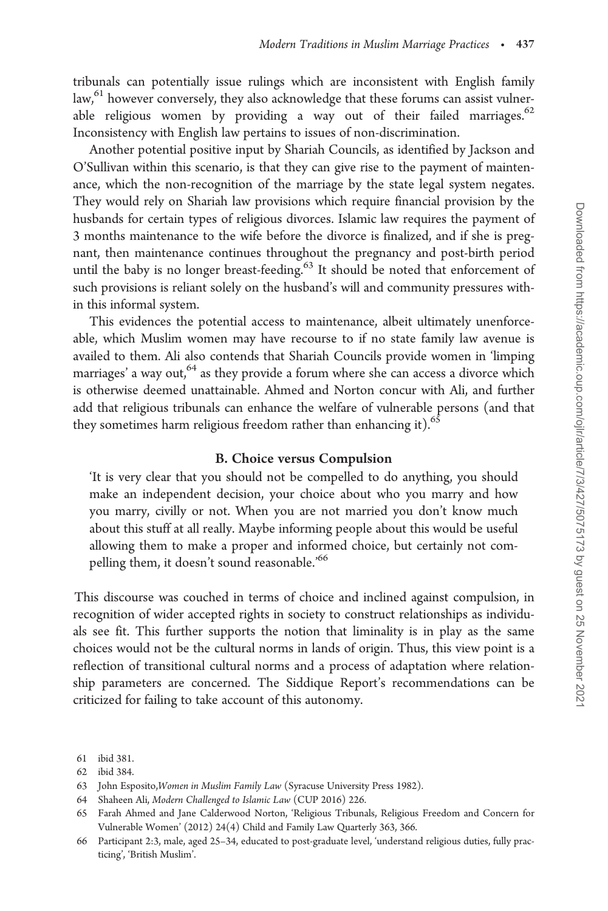tribunals can potentially issue rulings which are inconsistent with English family  $\text{law}$ ,  $^{61}$  however conversely, they also acknowledge that these forums can assist vulnerable religious women by providing a way out of their failed marriages.<sup>62</sup> Inconsistency with English law pertains to issues of non-discrimination.

Another potential positive input by Shariah Councils, as identified by Jackson and O'Sullivan within this scenario, is that they can give rise to the payment of maintenance, which the non-recognition of the marriage by the state legal system negates. They would rely on Shariah law provisions which require financial provision by the husbands for certain types of religious divorces. Islamic law requires the payment of 3 months maintenance to the wife before the divorce is finalized, and if she is pregnant, then maintenance continues throughout the pregnancy and post-birth period until the baby is no longer breast-feeding.<sup>63</sup> It should be noted that enforcement of such provisions is reliant solely on the husband's will and community pressures within this informal system.

This evidences the potential access to maintenance, albeit ultimately unenforceable, which Muslim women may have recourse to if no state family law avenue is availed to them. Ali also contends that Shariah Councils provide women in 'limping marriages' a way out,<sup>64</sup> as they provide a forum where she can access a divorce which is otherwise deemed unattainable. Ahmed and Norton concur with Ali, and further add that religious tribunals can enhance the welfare of vulnerable persons (and that they sometimes harm religious freedom rather than enhancing it).<sup>65</sup>

#### B. Choice versus Compulsion

'It is very clear that you should not be compelled to do anything, you should make an independent decision, your choice about who you marry and how you marry, civilly or not. When you are not married you don't know much about this stuff at all really. Maybe informing people about this would be useful allowing them to make a proper and informed choice, but certainly not compelling them, it doesn't sound reasonable.'<sup>66</sup>

This discourse was couched in terms of choice and inclined against compulsion, in recognition of wider accepted rights in society to construct relationships as individuals see fit. This further supports the notion that liminality is in play as the same choices would not be the cultural norms in lands of origin. Thus, this view point is a reflection of transitional cultural norms and a process of adaptation where relationship parameters are concerned. The Siddique Report's recommendations can be criticized for failing to take account of this autonomy.

- 63 John Esposito,Women in Muslim Family Law (Syracuse University Press 1982).
- 64 Shaheen Ali, Modern Challenged to Islamic Law (CUP 2016) 226.

<sup>61</sup> ibid 381.

<sup>62</sup> ibid 384.

<sup>65</sup> Farah Ahmed and Jane Calderwood Norton, 'Religious Tribunals, Religious Freedom and Concern for Vulnerable Women' (2012) 24(4) Child and Family Law Quarterly 363, 366.

<sup>66</sup> Participant 2:3, male, aged 25–34, educated to post-graduate level, 'understand religious duties, fully practicing', 'British Muslim'.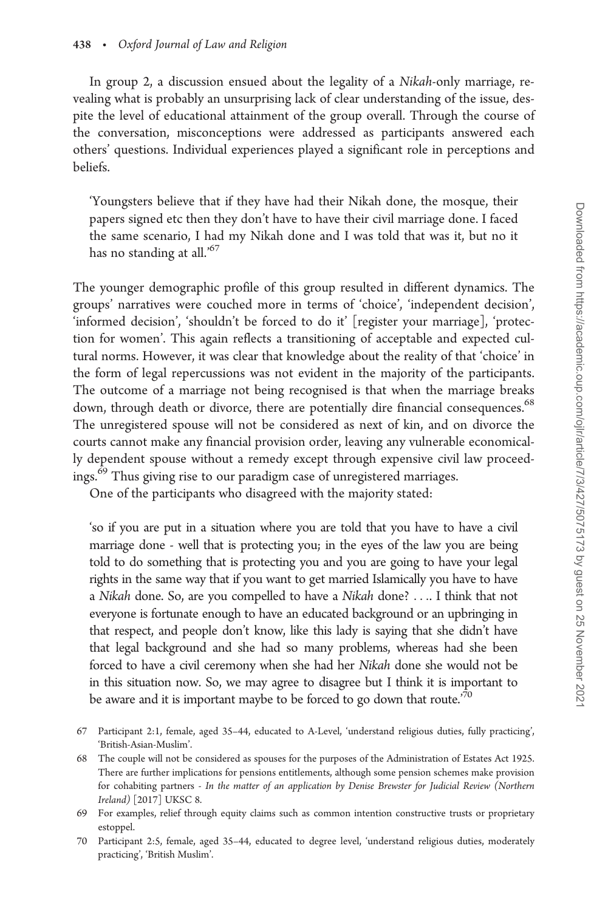In group 2, a discussion ensued about the legality of a Nikah-only marriage, revealing what is probably an unsurprising lack of clear understanding of the issue, despite the level of educational attainment of the group overall. Through the course of the conversation, misconceptions were addressed as participants answered each others' questions. Individual experiences played a significant role in perceptions and beliefs.

'Youngsters believe that if they have had their Nikah done, the mosque, their papers signed etc then they don't have to have their civil marriage done. I faced the same scenario, I had my Nikah done and I was told that was it, but no it has no standing at all.<sup>'67</sup>

The younger demographic profile of this group resulted in different dynamics. The groups' narratives were couched more in terms of 'choice', 'independent decision', 'informed decision', 'shouldn't be forced to do it' [register your marriage], 'protection for women'. This again reflects a transitioning of acceptable and expected cultural norms. However, it was clear that knowledge about the reality of that 'choice' in the form of legal repercussions was not evident in the majority of the participants. The outcome of a marriage not being recognised is that when the marriage breaks down, through death or divorce, there are potentially dire financial consequences.<sup>68</sup> The unregistered spouse will not be considered as next of kin, and on divorce the courts cannot make any financial provision order, leaving any vulnerable economically dependent spouse without a remedy except through expensive civil law proceedings.<sup>69</sup> Thus giving rise to our paradigm case of unregistered marriages.

One of the participants who disagreed with the majority stated:

'so if you are put in a situation where you are told that you have to have a civil marriage done - well that is protecting you; in the eyes of the law you are being told to do something that is protecting you and you are going to have your legal rights in the same way that if you want to get married Islamically you have to have a Nikah done. So, are you compelled to have a Nikah done? .... I think that not everyone is fortunate enough to have an educated background or an upbringing in that respect, and people don't know, like this lady is saying that she didn't have that legal background and she had so many problems, whereas had she been forced to have a civil ceremony when she had her Nikah done she would not be in this situation now. So, we may agree to disagree but I think it is important to be aware and it is important maybe to be forced to go down that route.<sup> $70$ </sup>

- 67 Participant 2:1, female, aged 35–44, educated to A-Level, 'understand religious duties, fully practicing', 'British-Asian-Muslim'.
- 68 The couple will not be considered as spouses for the purposes of the Administration of Estates Act 1925. There are further implications for pensions entitlements, although some pension schemes make provision for cohabiting partners - In the matter of an application by Denise Brewster for Judicial Review (Northern Ireland) [2017] UKSC 8.
- 69 For examples, relief through equity claims such as common intention constructive trusts or proprietary estoppel.
- 70 Participant 2:5, female, aged 35–44, educated to degree level, 'understand religious duties, moderately practicing', 'British Muslim'.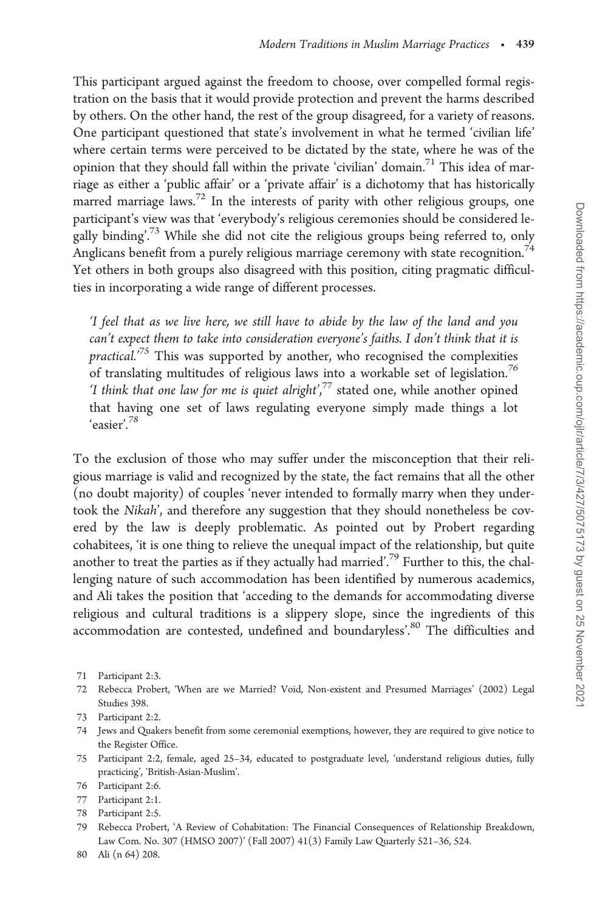This participant argued against the freedom to choose, over compelled formal registration on the basis that it would provide protection and prevent the harms described by others. On the other hand, the rest of the group disagreed, for a variety of reasons. One participant questioned that state's involvement in what he termed 'civilian life' where certain terms were perceived to be dictated by the state, where he was of the opinion that they should fall within the private 'civilian' domain.<sup>71</sup> This idea of marriage as either a 'public affair' or a 'private affair' is a dichotomy that has historically marred marriage laws.<sup>72</sup> In the interests of parity with other religious groups, one participant's view was that 'everybody's religious ceremonies should be considered legally binding'.73 While she did not cite the religious groups being referred to, only Anglicans benefit from a purely religious marriage ceremony with state recognition.<sup>74</sup> Yet others in both groups also disagreed with this position, citing pragmatic difficulties in incorporating a wide range of different processes.

'I feel that as we live here, we still have to abide by the law of the land and you can't expect them to take into consideration everyone's faiths. I don't think that it is practical.<sup>75</sup> This was supported by another, who recognised the complexities of translating multitudes of religious laws into a workable set of legislation.<sup>76</sup> 'I think that one law for me is quiet alright', $77$  stated one, while another opined that having one set of laws regulating everyone simply made things a lot 'easier'.<sup>78</sup>

To the exclusion of those who may suffer under the misconception that their religious marriage is valid and recognized by the state, the fact remains that all the other (no doubt majority) of couples 'never intended to formally marry when they undertook the Nikah', and therefore any suggestion that they should nonetheless be covered by the law is deeply problematic. As pointed out by Probert regarding cohabitees, 'it is one thing to relieve the unequal impact of the relationship, but quite another to treat the parties as if they actually had married'.79 Further to this, the challenging nature of such accommodation has been identified by numerous academics, and Ali takes the position that 'acceding to the demands for accommodating diverse religious and cultural traditions is a slippery slope, since the ingredients of this accommodation are contested, undefined and boundaryless'.<sup>80</sup> The difficulties and

- 74 Jews and Quakers benefit from some ceremonial exemptions, however, they are required to give notice to the Register Office.
- 75 Participant 2:2, female, aged 25–34, educated to postgraduate level, 'understand religious duties, fully practicing', 'British-Asian-Muslim'.

- 77 Participant 2:1.
- 78 Participant 2:5.

80 Ali (n 64) 208.

<sup>71</sup> Participant 2:3.

<sup>72</sup> Rebecca Probert, 'When are we Married? Void, Non-existent and Presumed Marriages' (2002) Legal Studies 398.

<sup>73</sup> Participant 2:2.

<sup>76</sup> Participant 2:6.

<sup>79</sup> Rebecca Probert, 'A Review of Cohabitation: The Financial Consequences of Relationship Breakdown, Law Com. No. 307 (HMSO 2007)' (Fall 2007) 41(3) Family Law Quarterly 521–36, 524.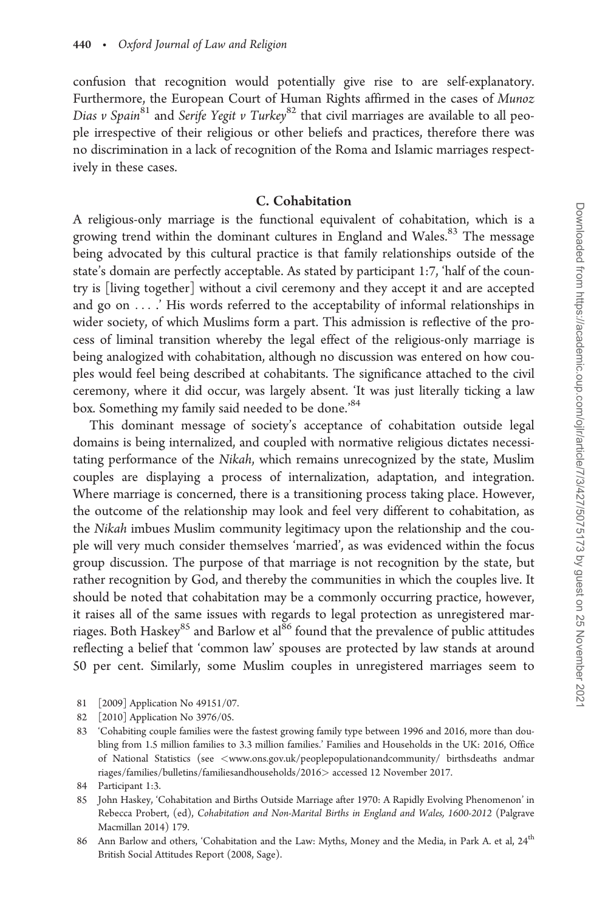confusion that recognition would potentially give rise to are self-explanatory. Furthermore, the European Court of Human Rights affirmed in the cases of Munoz Dias v Spain<sup>81</sup> and Serife Yegit v Turkey<sup>82</sup> that civil marriages are available to all people irrespective of their religious or other beliefs and practices, therefore there was no discrimination in a lack of recognition of the Roma and Islamic marriages respectively in these cases.

#### C. Cohabitation

A religious-only marriage is the functional equivalent of cohabitation, which is a growing trend within the dominant cultures in England and Wales.<sup>83</sup> The message being advocated by this cultural practice is that family relationships outside of the state's domain are perfectly acceptable. As stated by participant 1:7, 'half of the country is [living together] without a civil ceremony and they accept it and are accepted and go on ... .' His words referred to the acceptability of informal relationships in wider society, of which Muslims form a part. This admission is reflective of the process of liminal transition whereby the legal effect of the religious-only marriage is being analogized with cohabitation, although no discussion was entered on how couples would feel being described at cohabitants. The significance attached to the civil ceremony, where it did occur, was largely absent. 'It was just literally ticking a law box. Something my family said needed to be done.'<sup>84</sup>

This dominant message of society's acceptance of cohabitation outside legal domains is being internalized, and coupled with normative religious dictates necessitating performance of the Nikah, which remains unrecognized by the state, Muslim couples are displaying a process of internalization, adaptation, and integration. Where marriage is concerned, there is a transitioning process taking place. However, the outcome of the relationship may look and feel very different to cohabitation, as the Nikah imbues Muslim community legitimacy upon the relationship and the couple will very much consider themselves 'married', as was evidenced within the focus group discussion. The purpose of that marriage is not recognition by the state, but rather recognition by God, and thereby the communities in which the couples live. It should be noted that cohabitation may be a commonly occurring practice, however, it raises all of the same issues with regards to legal protection as unregistered marriages. Both Haskey<sup>85</sup> and Barlow et al<sup>86</sup> found that the prevalence of public attitudes reflecting a belief that 'common law' spouses are protected by law stands at around 50 per cent. Similarly, some Muslim couples in unregistered marriages seem to

- 81 [2009] Application No 49151/07.
- 82 [2010] Application No 3976/05.
- 83 'Cohabiting couple families were the fastest growing family type between 1996 and 2016, more than doubling from 1.5 million families to 3.3 million families.' Families and Households in the UK: 2016, Office of National Statistics (see <[www.ons.gov.uk/peoplepopulationandcommunity/ birthsdeaths andmar](http://www.ons.gov.uk/peoplepopulationandcommunity/ birthsdeaths andmarriages/families/bulletins/familiesandhouseholds/2016) [riages/families/bulletins/familiesandhouseholds/2016](http://www.ons.gov.uk/peoplepopulationandcommunity/ birthsdeaths andmarriages/families/bulletins/familiesandhouseholds/2016)> accessed 12 November 2017.

- 85 John Haskey, 'Cohabitation and Births Outside Marriage after 1970: A Rapidly Evolving Phenomenon' in Rebecca Probert, (ed), Cohabitation and Non-Marital Births in England and Wales, 1600-2012 (Palgrave Macmillan 2014) 179.
- 86 Ann Barlow and others, 'Cohabitation and the Law: Myths, Money and the Media, in Park A. et al, 24<sup>th</sup> British Social Attitudes Report (2008, Sage).

<sup>84</sup> Participant 1:3.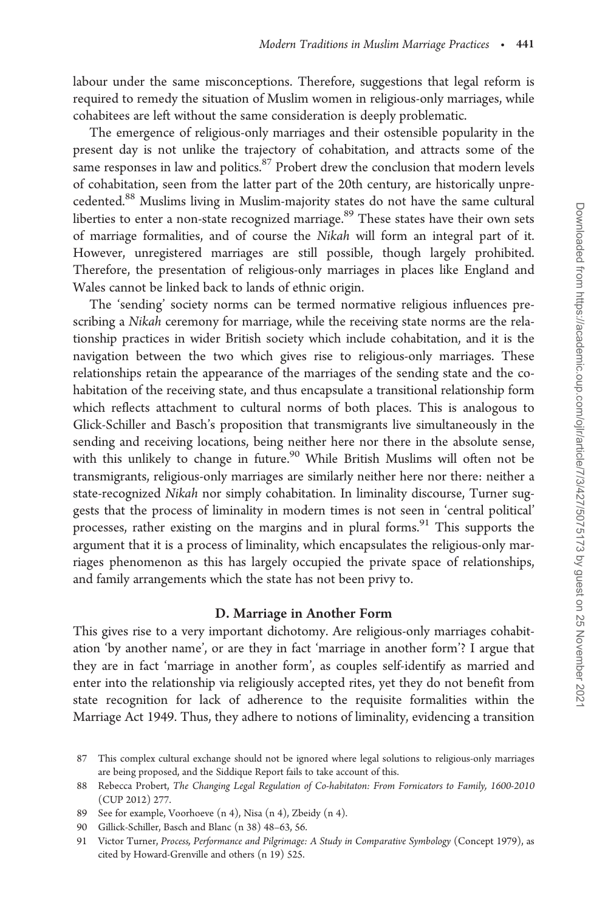labour under the same misconceptions. Therefore, suggestions that legal reform is required to remedy the situation of Muslim women in religious-only marriages, while cohabitees are left without the same consideration is deeply problematic.

The emergence of religious-only marriages and their ostensible popularity in the present day is not unlike the trajectory of cohabitation, and attracts some of the same responses in law and politics. $87$  Probert drew the conclusion that modern levels of cohabitation, seen from the latter part of the 20th century, are historically unprecedented.88 Muslims living in Muslim-majority states do not have the same cultural liberties to enter a non-state recognized marriage.<sup>89</sup> These states have their own sets of marriage formalities, and of course the Nikah will form an integral part of it. However, unregistered marriages are still possible, though largely prohibited. Therefore, the presentation of religious-only marriages in places like England and Wales cannot be linked back to lands of ethnic origin.

The 'sending' society norms can be termed normative religious influences prescribing a Nikah ceremony for marriage, while the receiving state norms are the relationship practices in wider British society which include cohabitation, and it is the navigation between the two which gives rise to religious-only marriages. These relationships retain the appearance of the marriages of the sending state and the cohabitation of the receiving state, and thus encapsulate a transitional relationship form which reflects attachment to cultural norms of both places. This is analogous to Glick-Schiller and Basch's proposition that transmigrants live simultaneously in the sending and receiving locations, being neither here nor there in the absolute sense, with this unlikely to change in future.<sup>90</sup> While British Muslims will often not be transmigrants, religious-only marriages are similarly neither here nor there: neither a state-recognized Nikah nor simply cohabitation. In liminality discourse, Turner suggests that the process of liminality in modern times is not seen in 'central political' processes, rather existing on the margins and in plural forms.<sup>91</sup> This supports the argument that it is a process of liminality, which encapsulates the religious-only marriages phenomenon as this has largely occupied the private space of relationships, and family arrangements which the state has not been privy to.

#### D. Marriage in Another Form

This gives rise to a very important dichotomy. Are religious-only marriages cohabitation 'by another name', or are they in fact 'marriage in another form'? I argue that they are in fact 'marriage in another form', as couples self-identify as married and enter into the relationship via religiously accepted rites, yet they do not benefit from state recognition for lack of adherence to the requisite formalities within the Marriage Act 1949. Thus, they adhere to notions of liminality, evidencing a transition

89 See for example, Voorhoeve (n 4), Nisa (n 4), Zbeidy (n 4).

<sup>87</sup> This complex cultural exchange should not be ignored where legal solutions to religious-only marriages are being proposed, and the Siddique Report fails to take account of this.

<sup>88</sup> Rebecca Probert, The Changing Legal Regulation of Co-habitaton: From Fornicators to Family, 1600-2010 (CUP 2012) 277.

<sup>90</sup> Gillick-Schiller, Basch and Blanc (n 38) 48–63, 56.

<sup>91</sup> Victor Turner, Process, Performance and Pilgrimage: A Study in Comparative Symbology (Concept 1979), as cited by Howard-Grenville and others (n 19) 525.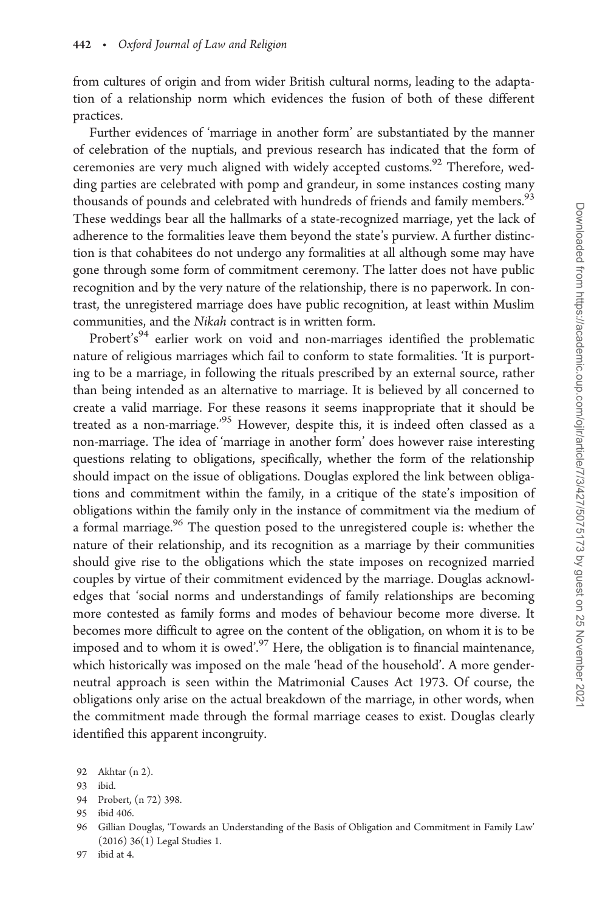from cultures of origin and from wider British cultural norms, leading to the adaptation of a relationship norm which evidences the fusion of both of these different practices.

Further evidences of 'marriage in another form' are substantiated by the manner of celebration of the nuptials, and previous research has indicated that the form of ceremonies are very much aligned with widely accepted customs.<sup>92</sup> Therefore, wedding parties are celebrated with pomp and grandeur, in some instances costing many thousands of pounds and celebrated with hundreds of friends and family members.<sup>93</sup> These weddings bear all the hallmarks of a state-recognized marriage, yet the lack of adherence to the formalities leave them beyond the state's purview. A further distinction is that cohabitees do not undergo any formalities at all although some may have gone through some form of commitment ceremony. The latter does not have public recognition and by the very nature of the relationship, there is no paperwork. In contrast, the unregistered marriage does have public recognition, at least within Muslim communities, and the Nikah contract is in written form.

Probert's<sup>94</sup> earlier work on void and non-marriages identified the problematic nature of religious marriages which fail to conform to state formalities. 'It is purporting to be a marriage, in following the rituals prescribed by an external source, rather than being intended as an alternative to marriage. It is believed by all concerned to create a valid marriage. For these reasons it seems inappropriate that it should be treated as a non-marriage.'<sup>95</sup> However, despite this, it is indeed often classed as a non-marriage. The idea of 'marriage in another form' does however raise interesting questions relating to obligations, specifically, whether the form of the relationship should impact on the issue of obligations. Douglas explored the link between obligations and commitment within the family, in a critique of the state's imposition of obligations within the family only in the instance of commitment via the medium of a formal marriage.<sup>96</sup> The question posed to the unregistered couple is: whether the nature of their relationship, and its recognition as a marriage by their communities should give rise to the obligations which the state imposes on recognized married couples by virtue of their commitment evidenced by the marriage. Douglas acknowledges that 'social norms and understandings of family relationships are becoming more contested as family forms and modes of behaviour become more diverse. It becomes more difficult to agree on the content of the obligation, on whom it is to be imposed and to whom it is owed'. $97$  Here, the obligation is to financial maintenance, which historically was imposed on the male 'head of the household'. A more genderneutral approach is seen within the Matrimonial Causes Act 1973. Of course, the obligations only arise on the actual breakdown of the marriage, in other words, when the commitment made through the formal marriage ceases to exist. Douglas clearly identified this apparent incongruity.

- 94 Probert, (n 72) 398.
- 95 ibid 406.

<sup>92</sup> Akhtar (n 2).

<sup>93</sup> ibid.

<sup>96</sup> Gillian Douglas, 'Towards an Understanding of the Basis of Obligation and Commitment in Family Law' (2016) 36(1) Legal Studies 1.

<sup>97</sup> ibid at 4.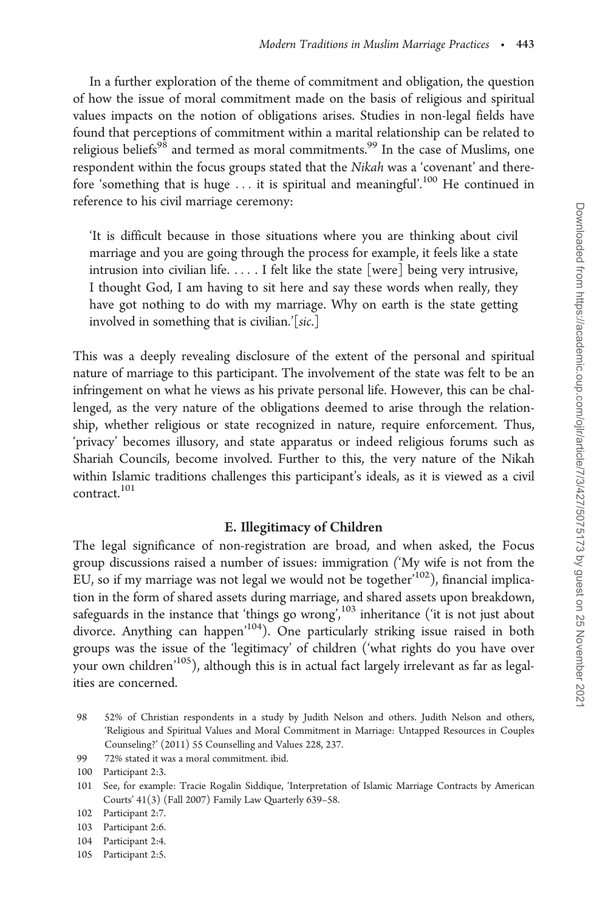In a further exploration of the theme of commitment and obligation, the question of how the issue of moral commitment made on the basis of religious and spiritual values impacts on the notion of obligations arises. Studies in non-legal fields have found that perceptions of commitment within a marital relationship can be related to religious beliefs<sup>98</sup> and termed as moral commitments.<sup>99</sup> In the case of Muslims, one respondent within the focus groups stated that the Nikah was a 'covenant' and therefore 'something that is huge ... it is spiritual and meaningful'.<sup>100</sup> He continued in reference to his civil marriage ceremony:

'It is difficult because in those situations where you are thinking about civil marriage and you are going through the process for example, it feels like a state intrusion into civilian life. ... . I felt like the state [were] being very intrusive, I thought God, I am having to sit here and say these words when really, they have got nothing to do with my marriage. Why on earth is the state getting involved in something that is civilian.'[sic.]

This was a deeply revealing disclosure of the extent of the personal and spiritual nature of marriage to this participant. The involvement of the state was felt to be an infringement on what he views as his private personal life. However, this can be challenged, as the very nature of the obligations deemed to arise through the relationship, whether religious or state recognized in nature, require enforcement. Thus, 'privacy' becomes illusory, and state apparatus or indeed religious forums such as Shariah Councils, become involved. Further to this, the very nature of the Nikah within Islamic traditions challenges this participant's ideals, as it is viewed as a civil contract.<sup>101</sup>

#### E. Illegitimacy of Children

The legal significance of non-registration are broad, and when asked, the Focus group discussions raised a number of issues: immigration ('My wife is not from the EU, so if my marriage was not legal we would not be together'102), financial implication in the form of shared assets during marriage, and shared assets upon breakdown, safeguards in the instance that 'things go wrong',<sup>103</sup> inheritance ('it is not just about divorce. Anything can happen'104). One particularly striking issue raised in both groups was the issue of the 'legitimacy' of children ('what rights do you have over your own children<sup>'105</sup>), although this is in actual fact largely irrelevant as far as legalities are concerned.

- 104 Participant 2:4.
- 105 Participant 2:5.

<sup>98 52%</sup> of Christian respondents in a study by Judith Nelson and others. Judith Nelson and others, 'Religious and Spiritual Values and Moral Commitment in Marriage: Untapped Resources in Couples Counseling?' (2011) 55 Counselling and Values 228, 237.

<sup>99 72%</sup> stated it was a moral commitment. ibid.

<sup>100</sup> Participant 2:3.

<sup>101</sup> See, for example: Tracie Rogalin Siddique, 'Interpretation of Islamic Marriage Contracts by American Courts' 41(3) (Fall 2007) Family Law Quarterly 639–58.

<sup>102</sup> Participant 2:7.

<sup>103</sup> Participant 2:6.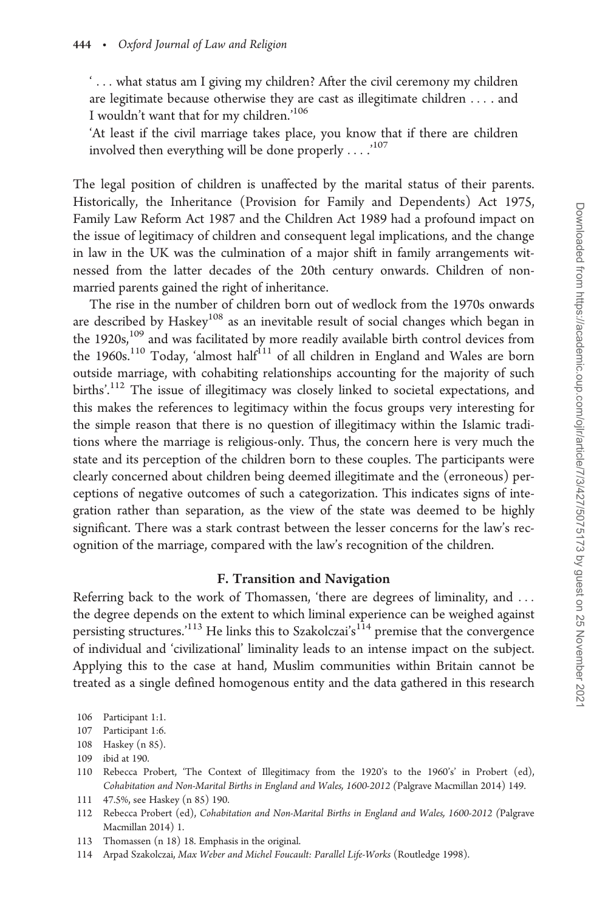' ... what status am I giving my children? After the civil ceremony my children are legitimate because otherwise they are cast as illegitimate children ... . and I wouldn't want that for my children.'106

'At least if the civil marriage takes place, you know that if there are children involved then everything will be done properly ... .'<sup>107</sup>

The legal position of children is unaffected by the marital status of their parents. Historically, the Inheritance (Provision for Family and Dependents) Act 1975, Family Law Reform Act 1987 and the Children Act 1989 had a profound impact on the issue of legitimacy of children and consequent legal implications, and the change in law in the UK was the culmination of a major shift in family arrangements witnessed from the latter decades of the 20th century onwards. Children of nonmarried parents gained the right of inheritance.

The rise in the number of children born out of wedlock from the 1970s onwards are described by Haskey<sup>108</sup> as an inevitable result of social changes which began in the 1920s,<sup>109</sup> and was facilitated by more readily available birth control devices from the 1960s.<sup>110</sup> Today, 'almost half<sup>111</sup> of all children in England and Wales are born outside marriage, with cohabiting relationships accounting for the majority of such births'.<sup>112</sup> The issue of illegitimacy was closely linked to societal expectations, and this makes the references to legitimacy within the focus groups very interesting for the simple reason that there is no question of illegitimacy within the Islamic traditions where the marriage is religious-only. Thus, the concern here is very much the state and its perception of the children born to these couples. The participants were clearly concerned about children being deemed illegitimate and the (erroneous) perceptions of negative outcomes of such a categorization. This indicates signs of integration rather than separation, as the view of the state was deemed to be highly significant. There was a stark contrast between the lesser concerns for the law's recognition of the marriage, compared with the law's recognition of the children.

#### F. Transition and Navigation

Referring back to the work of Thomassen, 'there are degrees of liminality, and ... the degree depends on the extent to which liminal experience can be weighed against persisting structures.'<sup>113</sup> He links this to Szakolczai's<sup>114</sup> premise that the convergence of individual and 'civilizational' liminality leads to an intense impact on the subject. Applying this to the case at hand, Muslim communities within Britain cannot be treated as a single defined homogenous entity and the data gathered in this research

- 113 Thomassen (n 18) 18. Emphasis in the original.
- 114 Arpad Szakolczai, Max Weber and Michel Foucault: Parallel Life-Works (Routledge 1998).

<sup>106</sup> Participant 1:1.

<sup>107</sup> Participant 1:6.

<sup>108</sup> Haskey (n 85).

<sup>109</sup> ibid at 190.

<sup>110</sup> Rebecca Probert, 'The Context of Illegitimacy from the 1920's to the 1960's' in Probert (ed), Cohabitation and Non-Marital Births in England and Wales, 1600-2012 (Palgrave Macmillan 2014) 149.

<sup>111 47.5%,</sup> see Haskey (n 85) 190.

<sup>112</sup> Rebecca Probert (ed), Cohabitation and Non-Marital Births in England and Wales, 1600-2012 (Palgrave Macmillan 2014) 1.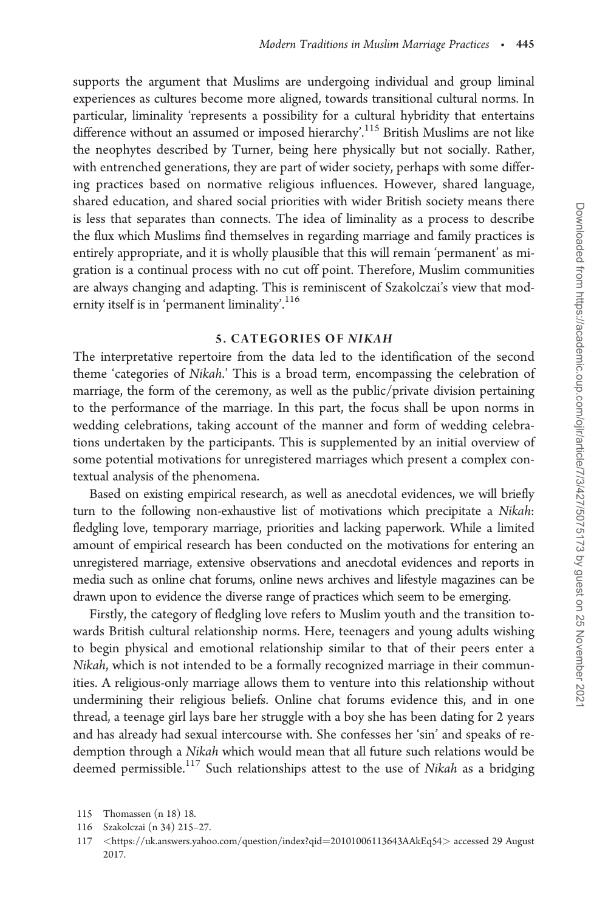supports the argument that Muslims are undergoing individual and group liminal experiences as cultures become more aligned, towards transitional cultural norms. In particular, liminality 'represents a possibility for a cultural hybridity that entertains difference without an assumed or imposed hierarchy<sup>215</sup> British Muslims are not like the neophytes described by Turner, being here physically but not socially. Rather, with entrenched generations, they are part of wider society, perhaps with some differing practices based on normative religious influences. However, shared language, shared education, and shared social priorities with wider British society means there is less that separates than connects. The idea of liminality as a process to describe the flux which Muslims find themselves in regarding marriage and family practices is entirely appropriate, and it is wholly plausible that this will remain 'permanent' as migration is a continual process with no cut off point. Therefore, Muslim communities are always changing and adapting. This is reminiscent of Szakolczai's view that modernity itself is in 'permanent liminality'.<sup>116</sup>

#### 5. CATEGORIES OF NIKAH

The interpretative repertoire from the data led to the identification of the second theme 'categories of Nikah.' This is a broad term, encompassing the celebration of marriage, the form of the ceremony, as well as the public/private division pertaining to the performance of the marriage. In this part, the focus shall be upon norms in wedding celebrations, taking account of the manner and form of wedding celebrations undertaken by the participants. This is supplemented by an initial overview of some potential motivations for unregistered marriages which present a complex contextual analysis of the phenomena.

Based on existing empirical research, as well as anecdotal evidences, we will briefly turn to the following non-exhaustive list of motivations which precipitate a Nikah: fledgling love, temporary marriage, priorities and lacking paperwork. While a limited amount of empirical research has been conducted on the motivations for entering an unregistered marriage, extensive observations and anecdotal evidences and reports in media such as online chat forums, online news archives and lifestyle magazines can be drawn upon to evidence the diverse range of practices which seem to be emerging.

Firstly, the category of fledgling love refers to Muslim youth and the transition towards British cultural relationship norms. Here, teenagers and young adults wishing to begin physical and emotional relationship similar to that of their peers enter a Nikah, which is not intended to be a formally recognized marriage in their communities. A religious-only marriage allows them to venture into this relationship without undermining their religious beliefs. Online chat forums evidence this, and in one thread, a teenage girl lays bare her struggle with a boy she has been dating for 2 years and has already had sexual intercourse with. She confesses her 'sin' and speaks of redemption through a Nikah which would mean that all future such relations would be deemed permissible.<sup>117</sup> Such relationships attest to the use of Nikah as a bridging

<sup>115</sup> Thomassen (n 18) 18.

<sup>116</sup> Szakolczai (n 34) 215–27.

<sup>117 &</sup>lt;[https://uk.answers.yahoo.com/question/index?qid](https://uk.answers.yahoo.com/question/index?qid=20101006113643AAkEq54)=[20101006113643AAkEq54](https://uk.answers.yahoo.com/question/index?qid=20101006113643AAkEq54)> accessed 29 August 2017.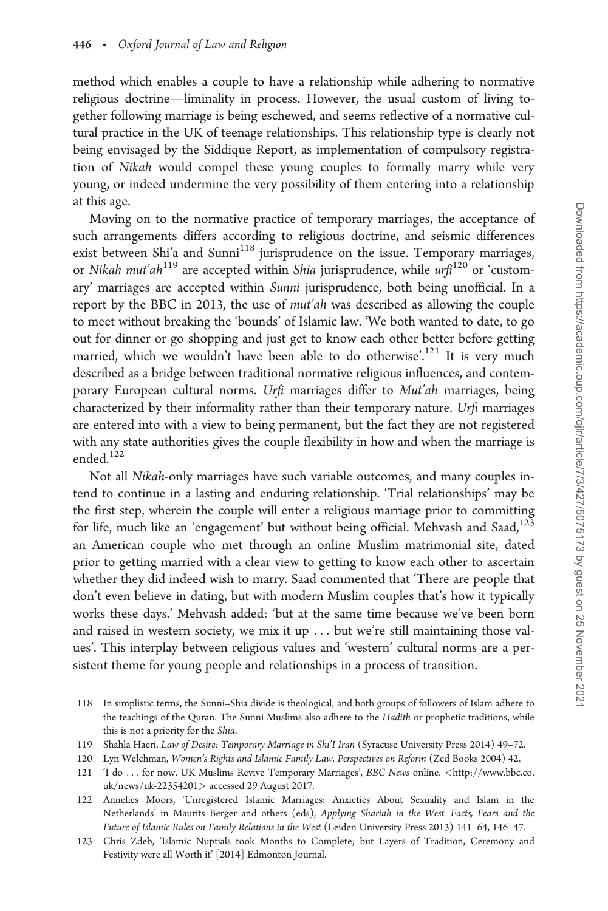method which enables a couple to have a relationship while adhering to normative religious doctrine—liminality in process. However, the usual custom of living together following marriage is being eschewed, and seems reflective of a normative cultural practice in the UK of teenage relationships. This relationship type is clearly not being envisaged by the Siddique Report, as implementation of compulsory registration of Nikah would compel these young couples to formally marry while very young, or indeed undermine the very possibility of them entering into a relationship at this age.

Moving on to the normative practice of temporary marriages, the acceptance of such arrangements differs according to religious doctrine, and seismic differences exist between Shi'a and Sunni<sup>118</sup> jurisprudence on the issue. Temporary marriages, or Nikah mut'ah<sup>119</sup> are accepted within Shia jurisprudence, while  $\pi r^{120}$  or 'customary' marriages are accepted within Sunni jurisprudence, both being unofficial. In a report by the BBC in 2013, the use of *mut'ah* was described as allowing the couple to meet without breaking the 'bounds' of Islamic law. 'We both wanted to date, to go out for dinner or go shopping and just get to know each other better before getting married, which we wouldn't have been able to do otherwise'.<sup>121</sup> It is very much described as a bridge between traditional normative religious influences, and contemporary European cultural norms. Urfi marriages differ to Mut'ah marriages, being characterized by their informality rather than their temporary nature. Urfi marriages are entered into with a view to being permanent, but the fact they are not registered with any state authorities gives the couple flexibility in how and when the marriage is  $end<sup>122</sup>$ 

Not all Nikah-only marriages have such variable outcomes, and many couples intend to continue in a lasting and enduring relationship. 'Trial relationships' may be the first step, wherein the couple will enter a religious marriage prior to committing for life, much like an 'engagement' but without being official. Mehvash and Saad, $123$ an American couple who met through an online Muslim matrimonial site, dated prior to getting married with a clear view to getting to know each other to ascertain whether they did indeed wish to marry. Saad commented that 'There are people that don't even believe in dating, but with modern Muslim couples that's how it typically works these days.' Mehvash added: 'but at the same time because we've been born and raised in western society, we mix it up ... but we're still maintaining those values'. This interplay between religious values and 'western' cultural norms are a persistent theme for young people and relationships in a process of transition.

<sup>118</sup> In simplistic terms, the Sunni–Shia divide is theological, and both groups of followers of Islam adhere to the teachings of the Quran. The Sunni Muslims also adhere to the Hadith or prophetic traditions, while this is not a priority for the Shia.

<sup>119</sup> Shahla Haeri, Law of Desire: Temporary Marriage in Shi'I Iran (Syracuse University Press 2014) 49–72.

<sup>120</sup> Lyn Welchman, Women's Rights and Islamic Family Law, Perspectives on Reform (Zed Books 2004) 42.

<sup>121 &#</sup>x27;I do ... for now. UK Muslims Revive Temporary Marriages', BBC News online. <[http://www.bbc.co.](http://www.bbc.co.uk/news/uk-22354201) [uk/news/uk-22354201](http://www.bbc.co.uk/news/uk-22354201)> accessed 29 August 2017.

<sup>122</sup> Annelies Moors, 'Unregistered Islamic Marriages: Anxieties About Sexuality and Islam in the Netherlands' in Maurits Berger and others (eds), Applying Shariah in the West. Facts, Fears and the Future of Islamic Rules on Family Relations in the West (Leiden University Press 2013) 141–64, 146–47.

<sup>123</sup> Chris Zdeb, 'Islamic Nuptials took Months to Complete; but Layers of Tradition, Ceremony and Festivity were all Worth it' [2014] Edmonton Journal.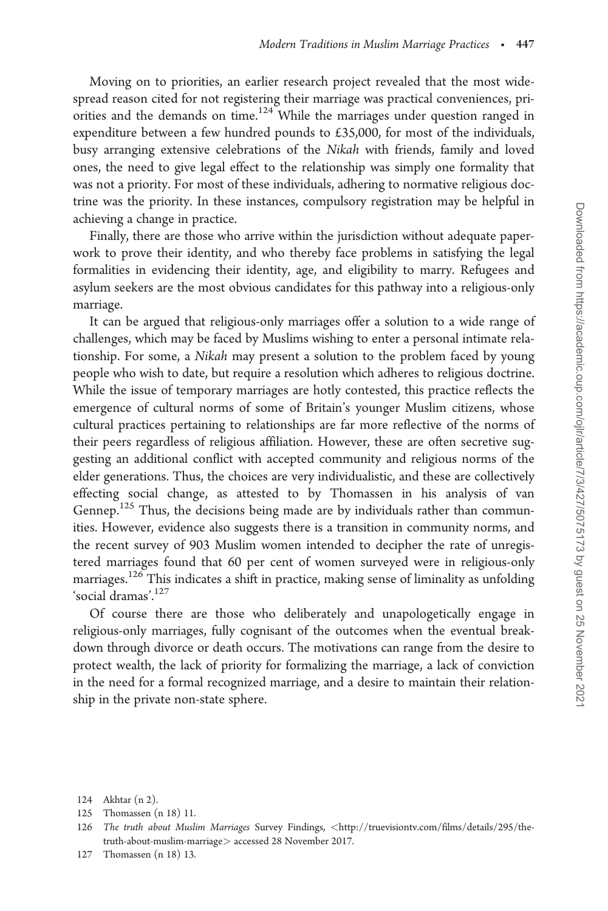Moving on to priorities, an earlier research project revealed that the most widespread reason cited for not registering their marriage was practical conveniences, priorities and the demands on time.<sup>124</sup> While the marriages under question ranged in expenditure between a few hundred pounds to £35,000, for most of the individuals, busy arranging extensive celebrations of the Nikah with friends, family and loved ones, the need to give legal effect to the relationship was simply one formality that was not a priority. For most of these individuals, adhering to normative religious doctrine was the priority. In these instances, compulsory registration may be helpful in achieving a change in practice.

Finally, there are those who arrive within the jurisdiction without adequate paperwork to prove their identity, and who thereby face problems in satisfying the legal formalities in evidencing their identity, age, and eligibility to marry. Refugees and asylum seekers are the most obvious candidates for this pathway into a religious-only marriage.

It can be argued that religious-only marriages offer a solution to a wide range of challenges, which may be faced by Muslims wishing to enter a personal intimate relationship. For some, a Nikah may present a solution to the problem faced by young people who wish to date, but require a resolution which adheres to religious doctrine. While the issue of temporary marriages are hotly contested, this practice reflects the emergence of cultural norms of some of Britain's younger Muslim citizens, whose cultural practices pertaining to relationships are far more reflective of the norms of their peers regardless of religious affiliation. However, these are often secretive suggesting an additional conflict with accepted community and religious norms of the elder generations. Thus, the choices are very individualistic, and these are collectively effecting social change, as attested to by Thomassen in his analysis of van Gennep.<sup>125</sup> Thus, the decisions being made are by individuals rather than communities. However, evidence also suggests there is a transition in community norms, and the recent survey of 903 Muslim women intended to decipher the rate of unregistered marriages found that 60 per cent of women surveyed were in religious-only marriages.<sup>126</sup> This indicates a shift in practice, making sense of liminality as unfolding 'social dramas'.127

Of course there are those who deliberately and unapologetically engage in religious-only marriages, fully cognisant of the outcomes when the eventual breakdown through divorce or death occurs. The motivations can range from the desire to protect wealth, the lack of priority for formalizing the marriage, a lack of conviction in the need for a formal recognized marriage, and a desire to maintain their relationship in the private non-state sphere.

<sup>124</sup> Akhtar (n 2).

<sup>125</sup> Thomassen (n 18) 11.

<sup>126</sup> The truth about Muslim Marriages Survey Findings, <[http://truevisiontv.com/films/details/295/the](http://truevisiontv.com/films/details/295/the-truth-about-muslim-marriage)[truth-about-muslim-marriage](http://truevisiontv.com/films/details/295/the-truth-about-muslim-marriage)> accessed 28 November 2017.

<sup>127</sup> Thomassen (n 18) 13.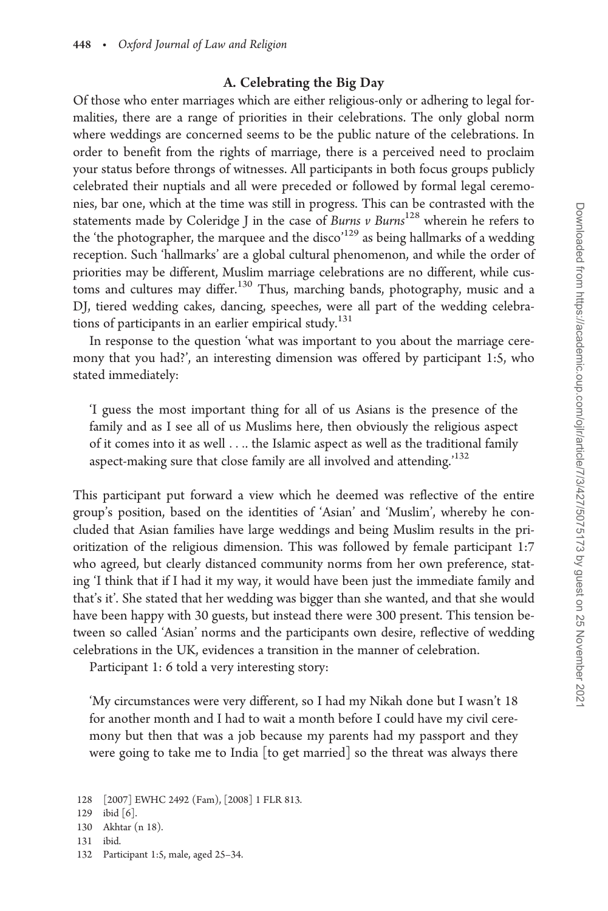## A. Celebrating the Big Day

Of those who enter marriages which are either religious-only or adhering to legal formalities, there are a range of priorities in their celebrations. The only global norm where weddings are concerned seems to be the public nature of the celebrations. In order to benefit from the rights of marriage, there is a perceived need to proclaim your status before throngs of witnesses. All participants in both focus groups publicly celebrated their nuptials and all were preceded or followed by formal legal ceremonies, bar one, which at the time was still in progress. This can be contrasted with the statements made by Coleridge J in the case of Burns  $v$  Burns<sup>128</sup> wherein he refers to the 'the photographer, the marquee and the disco'<sup>129</sup> as being hallmarks of a wedding reception. Such 'hallmarks' are a global cultural phenomenon, and while the order of priorities may be different, Muslim marriage celebrations are no different, while customs and cultures may differ.<sup>130</sup> Thus, marching bands, photography, music and a DJ, tiered wedding cakes, dancing, speeches, were all part of the wedding celebrations of participants in an earlier empirical study.<sup>131</sup>

In response to the question 'what was important to you about the marriage ceremony that you had?', an interesting dimension was offered by participant 1:5, who stated immediately:

'I guess the most important thing for all of us Asians is the presence of the family and as I see all of us Muslims here, then obviously the religious aspect of it comes into it as well .... the Islamic aspect as well as the traditional family aspect-making sure that close family are all involved and attending.<sup>132</sup>

This participant put forward a view which he deemed was reflective of the entire group's position, based on the identities of 'Asian' and 'Muslim', whereby he concluded that Asian families have large weddings and being Muslim results in the prioritization of the religious dimension. This was followed by female participant 1:7 who agreed, but clearly distanced community norms from her own preference, stating 'I think that if I had it my way, it would have been just the immediate family and that's it'. She stated that her wedding was bigger than she wanted, and that she would have been happy with 30 guests, but instead there were 300 present. This tension between so called 'Asian' norms and the participants own desire, reflective of wedding celebrations in the UK, evidences a transition in the manner of celebration.

Participant 1: 6 told a very interesting story:

'My circumstances were very different, so I had my Nikah done but I wasn't 18 for another month and I had to wait a month before I could have my civil ceremony but then that was a job because my parents had my passport and they were going to take me to India [to get married] so the threat was always there

<sup>128 [2007]</sup> EWHC 2492 (Fam), [2008] 1 FLR 813.

<sup>129</sup> ibid [6].

<sup>130</sup> Akhtar (n 18).

<sup>131</sup> ibid.

<sup>132</sup> Participant 1:5, male, aged 25–34.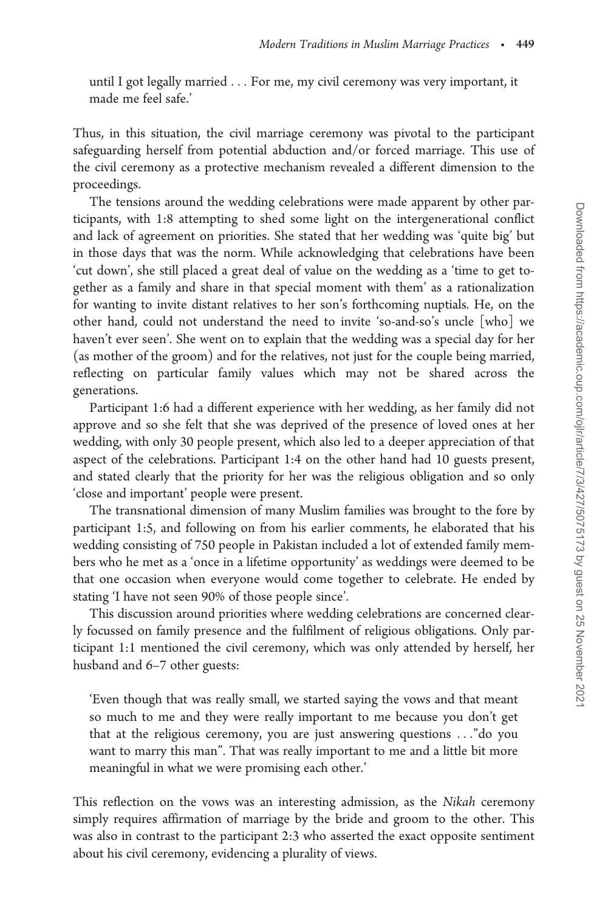until I got legally married ... For me, my civil ceremony was very important, it made me feel safe.'

Thus, in this situation, the civil marriage ceremony was pivotal to the participant safeguarding herself from potential abduction and/or forced marriage. This use of the civil ceremony as a protective mechanism revealed a different dimension to the proceedings.

The tensions around the wedding celebrations were made apparent by other participants, with 1:8 attempting to shed some light on the intergenerational conflict and lack of agreement on priorities. She stated that her wedding was 'quite big' but in those days that was the norm. While acknowledging that celebrations have been 'cut down', she still placed a great deal of value on the wedding as a 'time to get together as a family and share in that special moment with them' as a rationalization for wanting to invite distant relatives to her son's forthcoming nuptials. He, on the other hand, could not understand the need to invite 'so-and-so's uncle [who] we haven't ever seen'. She went on to explain that the wedding was a special day for her (as mother of the groom) and for the relatives, not just for the couple being married, reflecting on particular family values which may not be shared across the generations.

Participant 1:6 had a different experience with her wedding, as her family did not approve and so she felt that she was deprived of the presence of loved ones at her wedding, with only 30 people present, which also led to a deeper appreciation of that aspect of the celebrations. Participant 1:4 on the other hand had 10 guests present, and stated clearly that the priority for her was the religious obligation and so only 'close and important' people were present.

The transnational dimension of many Muslim families was brought to the fore by participant 1:5, and following on from his earlier comments, he elaborated that his wedding consisting of 750 people in Pakistan included a lot of extended family members who he met as a 'once in a lifetime opportunity' as weddings were deemed to be that one occasion when everyone would come together to celebrate. He ended by stating 'I have not seen 90% of those people since'.

This discussion around priorities where wedding celebrations are concerned clearly focussed on family presence and the fulfilment of religious obligations. Only participant 1:1 mentioned the civil ceremony, which was only attended by herself, her husband and 6–7 other guests:

'Even though that was really small, we started saying the vows and that meant so much to me and they were really important to me because you don't get that at the religious ceremony, you are just answering questions ..."do you want to marry this man". That was really important to me and a little bit more meaningful in what we were promising each other.'

This reflection on the vows was an interesting admission, as the Nikah ceremony simply requires affirmation of marriage by the bride and groom to the other. This was also in contrast to the participant 2:3 who asserted the exact opposite sentiment about his civil ceremony, evidencing a plurality of views.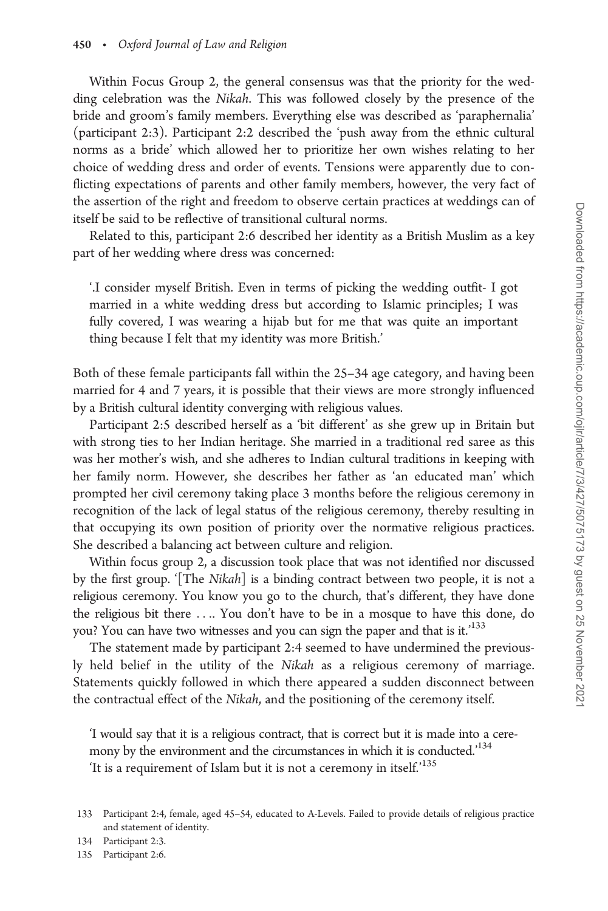Within Focus Group 2, the general consensus was that the priority for the wedding celebration was the Nikah. This was followed closely by the presence of the bride and groom's family members. Everything else was described as 'paraphernalia' (participant 2:3). Participant 2:2 described the 'push away from the ethnic cultural norms as a bride' which allowed her to prioritize her own wishes relating to her choice of wedding dress and order of events. Tensions were apparently due to conflicting expectations of parents and other family members, however, the very fact of the assertion of the right and freedom to observe certain practices at weddings can of itself be said to be reflective of transitional cultural norms.

Related to this, participant 2:6 described her identity as a British Muslim as a key part of her wedding where dress was concerned:

'.I consider myself British. Even in terms of picking the wedding outfit- I got married in a white wedding dress but according to Islamic principles; I was fully covered, I was wearing a hijab but for me that was quite an important thing because I felt that my identity was more British.'

Both of these female participants fall within the 25–34 age category, and having been married for 4 and 7 years, it is possible that their views are more strongly influenced by a British cultural identity converging with religious values.

Participant 2:5 described herself as a 'bit different' as she grew up in Britain but with strong ties to her Indian heritage. She married in a traditional red saree as this was her mother's wish, and she adheres to Indian cultural traditions in keeping with her family norm. However, she describes her father as 'an educated man' which prompted her civil ceremony taking place 3 months before the religious ceremony in recognition of the lack of legal status of the religious ceremony, thereby resulting in that occupying its own position of priority over the normative religious practices. She described a balancing act between culture and religion.

Within focus group 2, a discussion took place that was not identified nor discussed by the first group. '[The Nikah] is a binding contract between two people, it is not a religious ceremony. You know you go to the church, that's different, they have done the religious bit there .... You don't have to be in a mosque to have this done, do you? You can have two witnesses and you can sign the paper and that is it.<sup>'133</sup>

The statement made by participant 2:4 seemed to have undermined the previously held belief in the utility of the Nikah as a religious ceremony of marriage. Statements quickly followed in which there appeared a sudden disconnect between the contractual effect of the Nikah, and the positioning of the ceremony itself.

'I would say that it is a religious contract, that is correct but it is made into a ceremony by the environment and the circumstances in which it is conducted.'134 'It is a requirement of Islam but it is not a ceremony in itself.'<sup>135</sup>

<sup>133</sup> Participant 2:4, female, aged 45–54, educated to A-Levels. Failed to provide details of religious practice and statement of identity.

<sup>134</sup> Participant 2:3.

<sup>135</sup> Participant 2:6.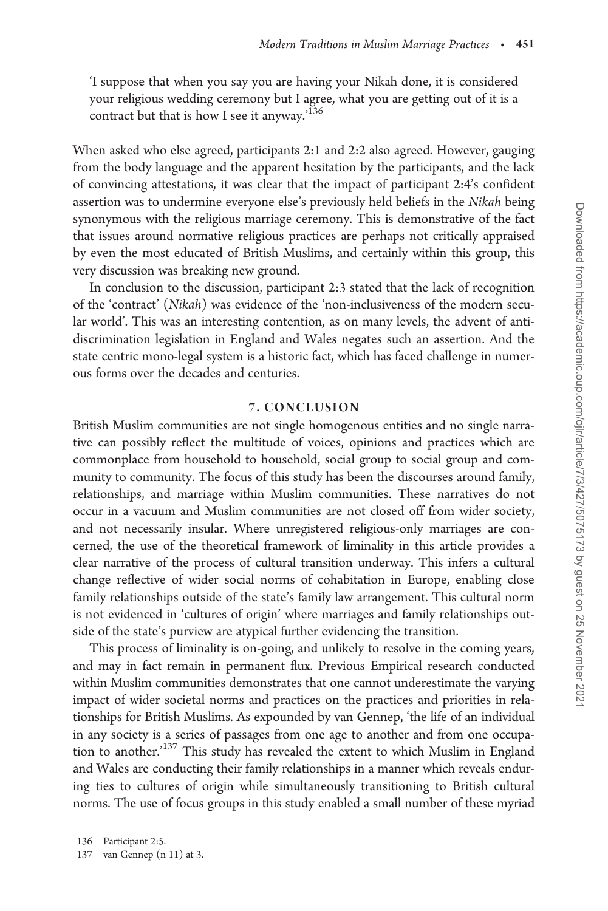'I suppose that when you say you are having your Nikah done, it is considered your religious wedding ceremony but I agree, what you are getting out of it is a contract but that is how I see it anyway.'136

When asked who else agreed, participants 2:1 and 2:2 also agreed. However, gauging from the body language and the apparent hesitation by the participants, and the lack of convincing attestations, it was clear that the impact of participant 2:4's confident assertion was to undermine everyone else's previously held beliefs in the Nikah being synonymous with the religious marriage ceremony. This is demonstrative of the fact that issues around normative religious practices are perhaps not critically appraised by even the most educated of British Muslims, and certainly within this group, this very discussion was breaking new ground.

In conclusion to the discussion, participant 2:3 stated that the lack of recognition of the 'contract' (Nikah) was evidence of the 'non-inclusiveness of the modern secular world'. This was an interesting contention, as on many levels, the advent of antidiscrimination legislation in England and Wales negates such an assertion. And the state centric mono-legal system is a historic fact, which has faced challenge in numerous forms over the decades and centuries.

#### 7. CONCLUSION

British Muslim communities are not single homogenous entities and no single narrative can possibly reflect the multitude of voices, opinions and practices which are commonplace from household to household, social group to social group and community to community. The focus of this study has been the discourses around family, relationships, and marriage within Muslim communities. These narratives do not occur in a vacuum and Muslim communities are not closed off from wider society, and not necessarily insular. Where unregistered religious-only marriages are concerned, the use of the theoretical framework of liminality in this article provides a clear narrative of the process of cultural transition underway. This infers a cultural change reflective of wider social norms of cohabitation in Europe, enabling close family relationships outside of the state's family law arrangement. This cultural norm is not evidenced in 'cultures of origin' where marriages and family relationships outside of the state's purview are atypical further evidencing the transition.

This process of liminality is on-going, and unlikely to resolve in the coming years, and may in fact remain in permanent flux. Previous Empirical research conducted within Muslim communities demonstrates that one cannot underestimate the varying impact of wider societal norms and practices on the practices and priorities in relationships for British Muslims. As expounded by van Gennep, 'the life of an individual in any society is a series of passages from one age to another and from one occupation to another.'137 This study has revealed the extent to which Muslim in England and Wales are conducting their family relationships in a manner which reveals enduring ties to cultures of origin while simultaneously transitioning to British cultural norms. The use of focus groups in this study enabled a small number of these myriad

<sup>136</sup> Participant 2:5. 137 van Gennep (n 11) at 3.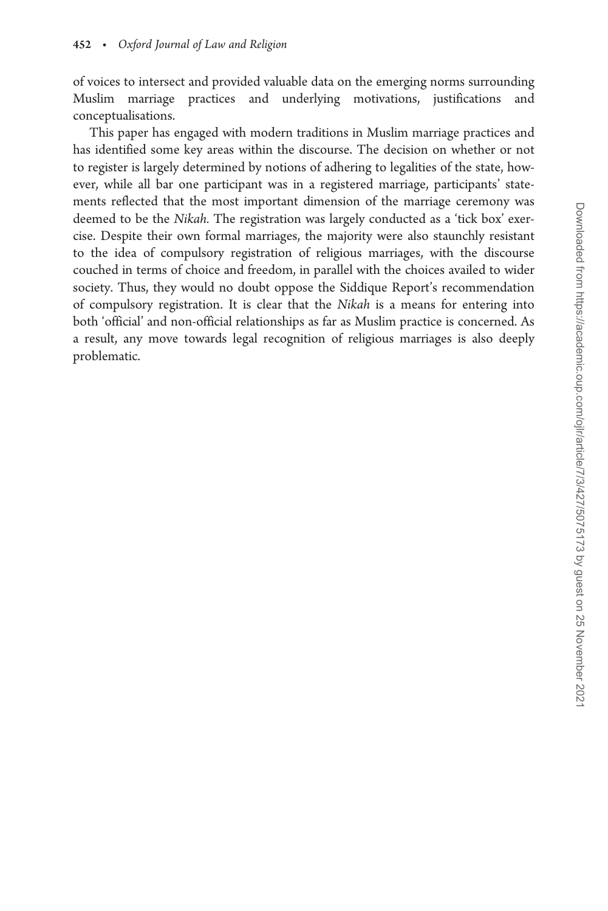of voices to intersect and provided valuable data on the emerging norms surrounding Muslim marriage practices and underlying motivations, justifications and conceptualisations.

This paper has engaged with modern traditions in Muslim marriage practices and has identified some key areas within the discourse. The decision on whether or not to register is largely determined by notions of adhering to legalities of the state, however, while all bar one participant was in a registered marriage, participants' statements reflected that the most important dimension of the marriage ceremony was deemed to be the Nikah. The registration was largely conducted as a 'tick box' exercise. Despite their own formal marriages, the majority were also staunchly resistant to the idea of compulsory registration of religious marriages, with the discourse couched in terms of choice and freedom, in parallel with the choices availed to wider society. Thus, they would no doubt oppose the Siddique Report's recommendation of compulsory registration. It is clear that the Nikah is a means for entering into both 'official' and non-official relationships as far as Muslim practice is concerned. As a result, any move towards legal recognition of religious marriages is also deeply problematic.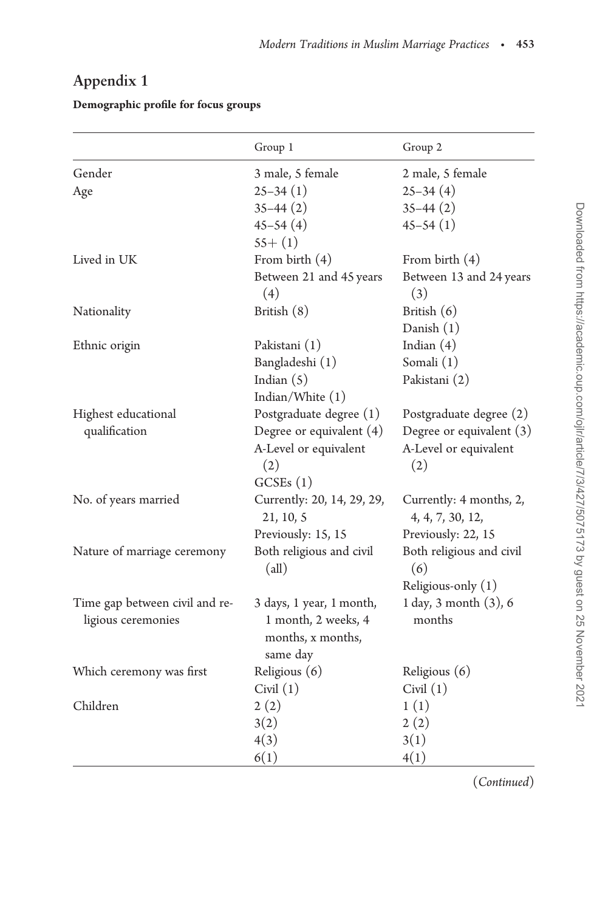# Appendix 1

|                                | Group 1                                              | Group 2                                     |
|--------------------------------|------------------------------------------------------|---------------------------------------------|
| Gender                         | 3 male, 5 female                                     | 2 male, 5 female                            |
| Age                            | $25 - 34(1)$                                         | $25 - 34(4)$                                |
|                                | $35 - 44(2)$                                         | $35-44(2)$                                  |
|                                | $45 - 54(4)$                                         | $45 - 54(1)$                                |
|                                | $55+(1)$                                             |                                             |
| Lived in UK                    | From birth $(4)$                                     | From birth $(4)$                            |
|                                | Between 21 and 45 years<br>(4)                       | Between 13 and 24 years<br>(3)              |
| Nationality                    | British (8)                                          | British $(6)$                               |
|                                |                                                      | Danish $(1)$                                |
| Ethnic origin                  | Pakistani (1)                                        | Indian $(4)$                                |
|                                | Bangladeshi (1)                                      | Somali (1)                                  |
|                                | Indian $(5)$                                         | Pakistani (2)                               |
|                                | Indian/White $(1)$                                   |                                             |
| Highest educational            | Postgraduate degree (1)                              | Postgraduate degree (2)                     |
| qualification                  | Degree or equivalent $(4)$                           | Degree or equivalent $(3)$                  |
|                                | A-Level or equivalent<br>(2)                         | A-Level or equivalent<br>(2)                |
|                                | GCSEs(1)                                             |                                             |
| No. of years married           | Currently: 20, 14, 29, 29,<br>21, 10, 5              | Currently: 4 months, 2,<br>4, 4, 7, 30, 12, |
|                                | Previously: 15, 15                                   | Previously: 22, 15                          |
| Nature of marriage ceremony    | Both religious and civil<br>$\text{(all)}$           | Both religious and civil<br>(6)             |
|                                |                                                      | Religious-only $(1)$                        |
| Time gap between civil and re- | 3 days, 1 year, 1 month,                             | 1 day, 3 month (3), 6                       |
| ligious ceremonies             | 1 month, 2 weeks, 4<br>months, x months,<br>same day | months                                      |
| Which ceremony was first       | Religious (6)                                        | Religious (6)                               |
|                                | Civil (1)                                            | Civil (1)                                   |
| Children                       | 2(2)                                                 | 1(1)                                        |
|                                | 3(2)                                                 | 2(2)                                        |
|                                | 4(3)                                                 | 3(1)                                        |
|                                | 6(1)                                                 | 4(1)                                        |

### Demographic profile for focus groups

(Continued)